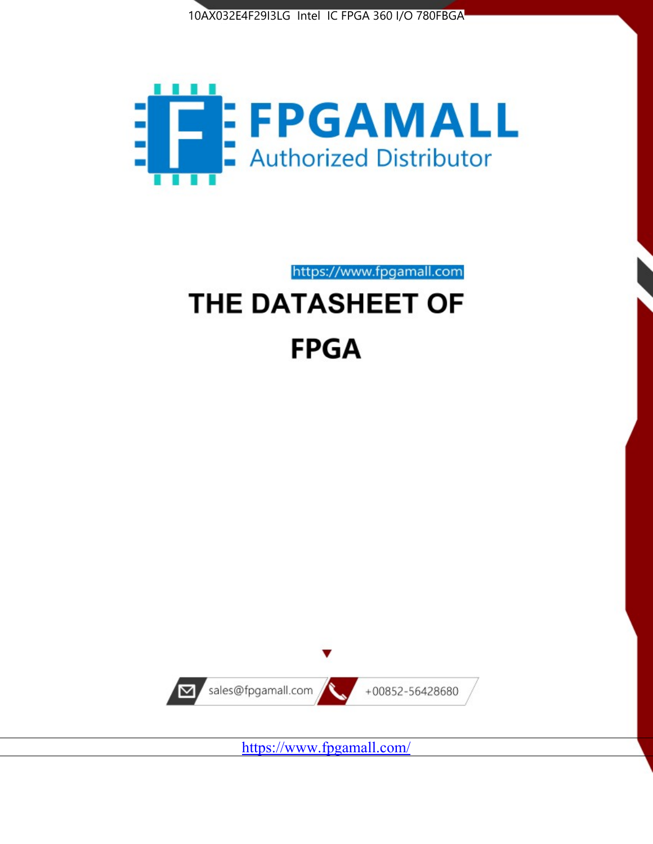



https://www.fpgamall.com

# THE DATASHEET OF **FPGA**



<https://www.fpgamall.com/>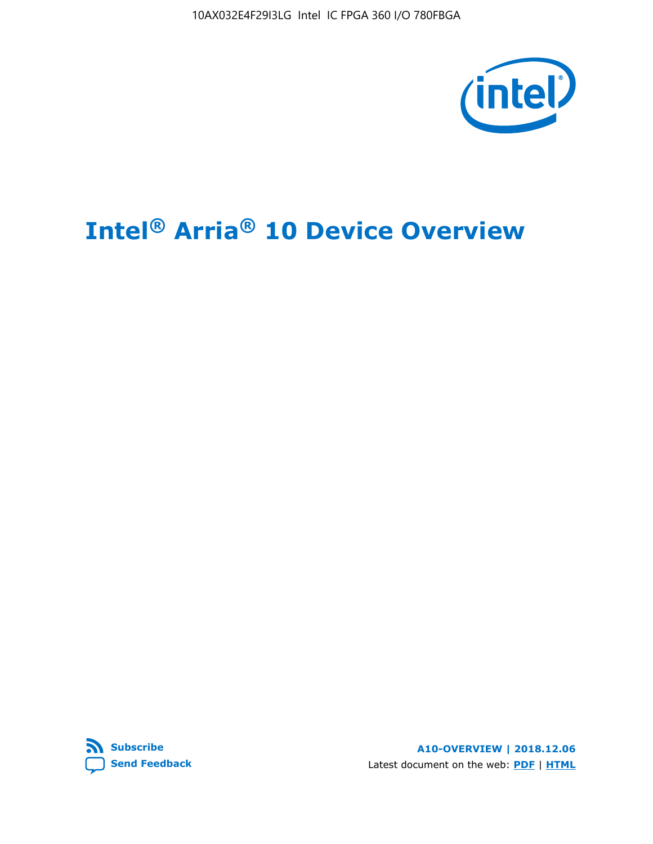10AX032E4F29I3LG Intel IC FPGA 360 I/O 780FBGA



# **Intel® Arria® 10 Device Overview**



**A10-OVERVIEW | 2018.12.06** Latest document on the web: **[PDF](https://www.intel.com/content/dam/www/programmable/us/en/pdfs/literature/hb/arria-10/a10_overview.pdf)** | **[HTML](https://www.intel.com/content/www/us/en/programmable/documentation/sam1403480274650.html)**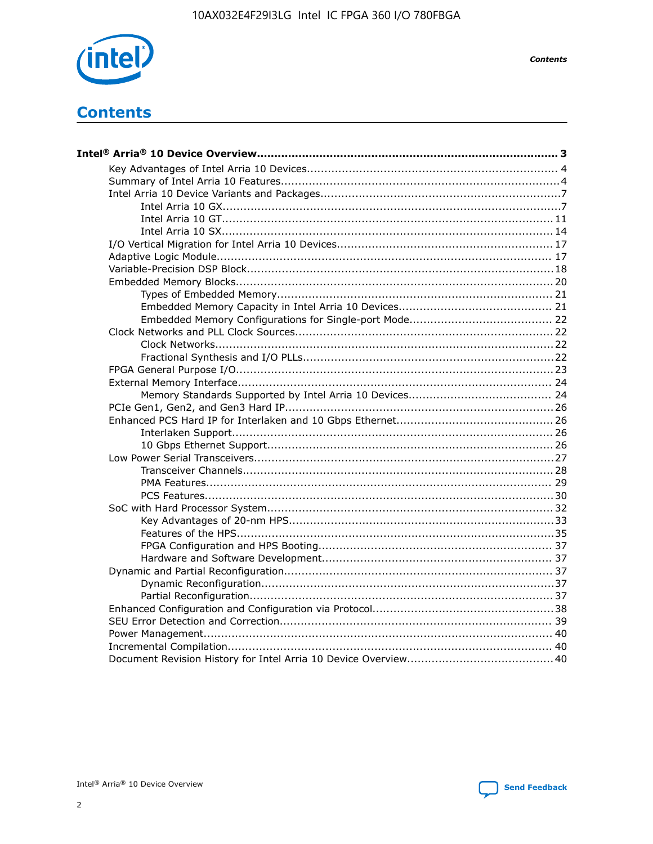

**Contents** 

**Contents**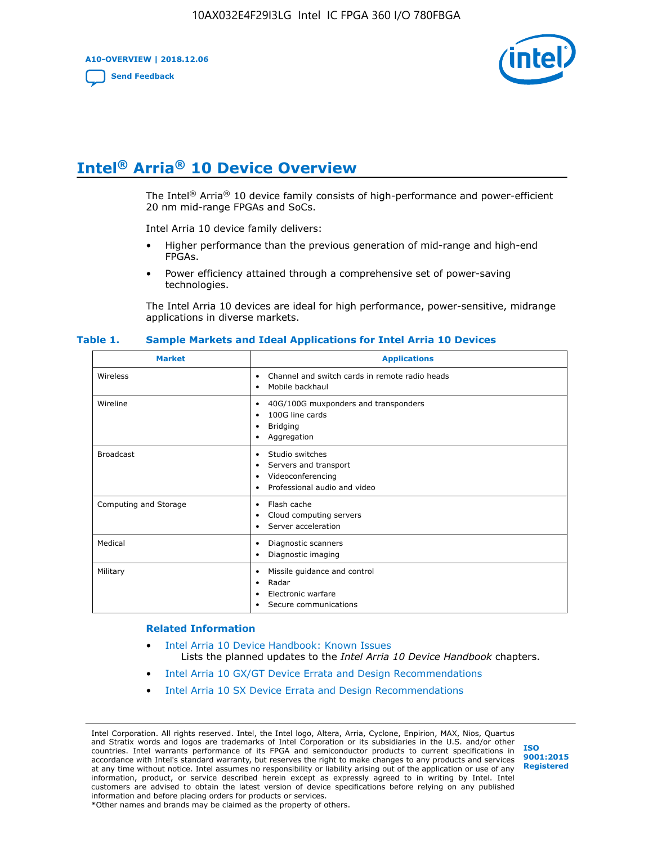**A10-OVERVIEW | 2018.12.06**

**[Send Feedback](mailto:FPGAtechdocfeedback@intel.com?subject=Feedback%20on%20Intel%20Arria%2010%20Device%20Overview%20(A10-OVERVIEW%202018.12.06)&body=We%20appreciate%20your%20feedback.%20In%20your%20comments,%20also%20specify%20the%20page%20number%20or%20paragraph.%20Thank%20you.)**



# **Intel® Arria® 10 Device Overview**

The Intel<sup>®</sup> Arria<sup>®</sup> 10 device family consists of high-performance and power-efficient 20 nm mid-range FPGAs and SoCs.

Intel Arria 10 device family delivers:

- Higher performance than the previous generation of mid-range and high-end FPGAs.
- Power efficiency attained through a comprehensive set of power-saving technologies.

The Intel Arria 10 devices are ideal for high performance, power-sensitive, midrange applications in diverse markets.

| <b>Market</b>         | <b>Applications</b>                                                                                               |
|-----------------------|-------------------------------------------------------------------------------------------------------------------|
| Wireless              | Channel and switch cards in remote radio heads<br>٠<br>Mobile backhaul<br>٠                                       |
| Wireline              | 40G/100G muxponders and transponders<br>٠<br>100G line cards<br>٠<br><b>Bridging</b><br>٠<br>Aggregation<br>٠     |
| <b>Broadcast</b>      | Studio switches<br>٠<br>Servers and transport<br>٠<br>Videoconferencing<br>٠<br>Professional audio and video<br>٠ |
| Computing and Storage | Flash cache<br>٠<br>Cloud computing servers<br>٠<br>Server acceleration<br>٠                                      |
| Medical               | Diagnostic scanners<br>٠<br>Diagnostic imaging<br>٠                                                               |
| Military              | Missile guidance and control<br>٠<br>Radar<br>٠<br>Electronic warfare<br>٠<br>Secure communications<br>٠          |

#### **Table 1. Sample Markets and Ideal Applications for Intel Arria 10 Devices**

#### **Related Information**

- [Intel Arria 10 Device Handbook: Known Issues](http://www.altera.com/support/kdb/solutions/rd07302013_646.html) Lists the planned updates to the *Intel Arria 10 Device Handbook* chapters.
- [Intel Arria 10 GX/GT Device Errata and Design Recommendations](https://www.intel.com/content/www/us/en/programmable/documentation/agz1493851706374.html#yqz1494433888646)
- [Intel Arria 10 SX Device Errata and Design Recommendations](https://www.intel.com/content/www/us/en/programmable/documentation/cru1462832385668.html#cru1462832558642)

Intel Corporation. All rights reserved. Intel, the Intel logo, Altera, Arria, Cyclone, Enpirion, MAX, Nios, Quartus and Stratix words and logos are trademarks of Intel Corporation or its subsidiaries in the U.S. and/or other countries. Intel warrants performance of its FPGA and semiconductor products to current specifications in accordance with Intel's standard warranty, but reserves the right to make changes to any products and services at any time without notice. Intel assumes no responsibility or liability arising out of the application or use of any information, product, or service described herein except as expressly agreed to in writing by Intel. Intel customers are advised to obtain the latest version of device specifications before relying on any published information and before placing orders for products or services. \*Other names and brands may be claimed as the property of others.

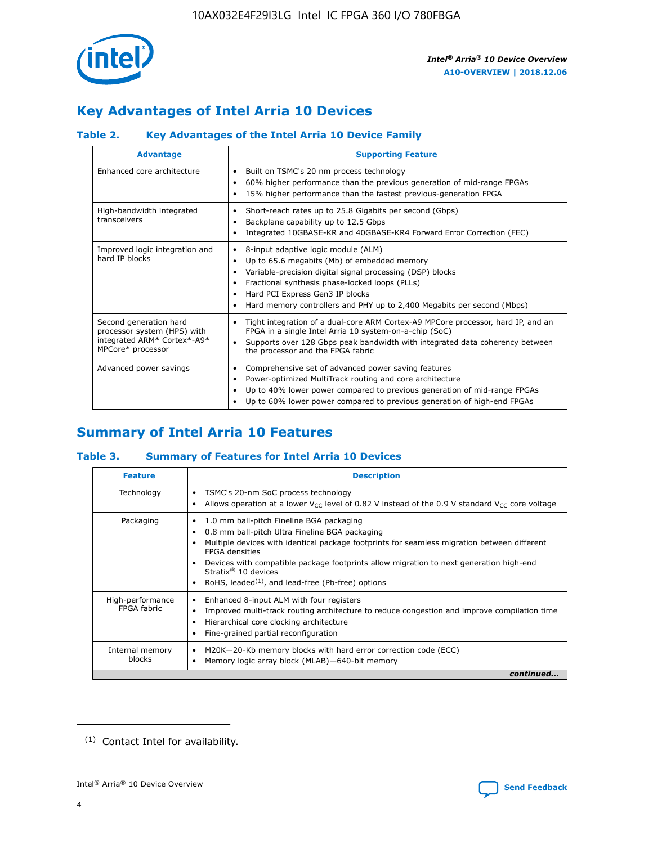

# **Key Advantages of Intel Arria 10 Devices**

# **Table 2. Key Advantages of the Intel Arria 10 Device Family**

| <b>Advantage</b>                                                                                          | <b>Supporting Feature</b>                                                                                                                                                                                                                                                                                                     |
|-----------------------------------------------------------------------------------------------------------|-------------------------------------------------------------------------------------------------------------------------------------------------------------------------------------------------------------------------------------------------------------------------------------------------------------------------------|
| Enhanced core architecture                                                                                | Built on TSMC's 20 nm process technology<br>٠<br>60% higher performance than the previous generation of mid-range FPGAs<br>٠<br>15% higher performance than the fastest previous-generation FPGA<br>٠                                                                                                                         |
| High-bandwidth integrated<br>transceivers                                                                 | Short-reach rates up to 25.8 Gigabits per second (Gbps)<br>٠<br>Backplane capability up to 12.5 Gbps<br>٠<br>Integrated 10GBASE-KR and 40GBASE-KR4 Forward Error Correction (FEC)<br>٠                                                                                                                                        |
| Improved logic integration and<br>hard IP blocks                                                          | 8-input adaptive logic module (ALM)<br>٠<br>Up to 65.6 megabits (Mb) of embedded memory<br>٠<br>Variable-precision digital signal processing (DSP) blocks<br>Fractional synthesis phase-locked loops (PLLs)<br>٠<br>Hard PCI Express Gen3 IP blocks<br>Hard memory controllers and PHY up to 2,400 Megabits per second (Mbps) |
| Second generation hard<br>processor system (HPS) with<br>integrated ARM* Cortex*-A9*<br>MPCore* processor | Tight integration of a dual-core ARM Cortex-A9 MPCore processor, hard IP, and an<br>٠<br>FPGA in a single Intel Arria 10 system-on-a-chip (SoC)<br>Supports over 128 Gbps peak bandwidth with integrated data coherency between<br>$\bullet$<br>the processor and the FPGA fabric                                             |
| Advanced power savings                                                                                    | Comprehensive set of advanced power saving features<br>٠<br>Power-optimized MultiTrack routing and core architecture<br>٠<br>Up to 40% lower power compared to previous generation of mid-range FPGAs<br>٠<br>Up to 60% lower power compared to previous generation of high-end FPGAs<br>٠                                    |

# **Summary of Intel Arria 10 Features**

## **Table 3. Summary of Features for Intel Arria 10 Devices**

| <b>Feature</b>                  | <b>Description</b>                                                                                                                                                                                                                                                                                                                                                                                       |
|---------------------------------|----------------------------------------------------------------------------------------------------------------------------------------------------------------------------------------------------------------------------------------------------------------------------------------------------------------------------------------------------------------------------------------------------------|
| Technology                      | TSMC's 20-nm SoC process technology<br>٠<br>Allows operation at a lower $V_{\text{CC}}$ level of 0.82 V instead of the 0.9 V standard $V_{\text{CC}}$ core voltage                                                                                                                                                                                                                                       |
| Packaging                       | 1.0 mm ball-pitch Fineline BGA packaging<br>0.8 mm ball-pitch Ultra Fineline BGA packaging<br>Multiple devices with identical package footprints for seamless migration between different<br><b>FPGA</b> densities<br>Devices with compatible package footprints allow migration to next generation high-end<br>Stratix $\mathcal{R}$ 10 devices<br>RoHS, leaded $(1)$ , and lead-free (Pb-free) options |
| High-performance<br>FPGA fabric | Enhanced 8-input ALM with four registers<br>٠<br>Improved multi-track routing architecture to reduce congestion and improve compilation time<br>Hierarchical core clocking architecture<br>Fine-grained partial reconfiguration                                                                                                                                                                          |
| Internal memory<br>blocks       | M20K-20-Kb memory blocks with hard error correction code (ECC)<br>Memory logic array block (MLAB)-640-bit memory                                                                                                                                                                                                                                                                                         |
|                                 | continued                                                                                                                                                                                                                                                                                                                                                                                                |



<sup>(1)</sup> Contact Intel for availability.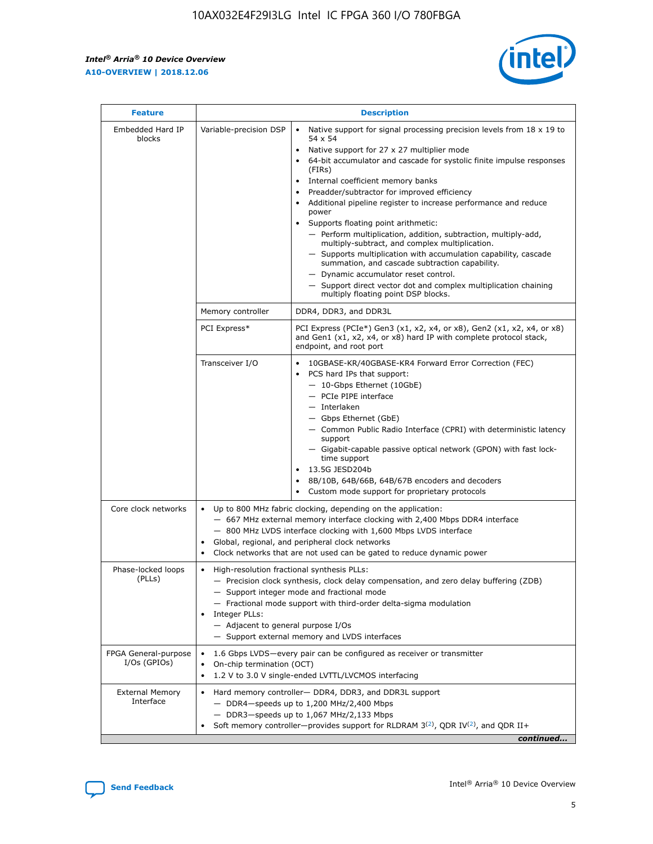$\mathsf{r}$ 



| <b>Feature</b>                         |                                                                                                                | <b>Description</b>                                                                                                                                                                                                                                                                                                                                                                                                                                                                                                                                                                                                                                                                                                                                                                                                                          |
|----------------------------------------|----------------------------------------------------------------------------------------------------------------|---------------------------------------------------------------------------------------------------------------------------------------------------------------------------------------------------------------------------------------------------------------------------------------------------------------------------------------------------------------------------------------------------------------------------------------------------------------------------------------------------------------------------------------------------------------------------------------------------------------------------------------------------------------------------------------------------------------------------------------------------------------------------------------------------------------------------------------------|
| Embedded Hard IP<br>blocks             | Variable-precision DSP                                                                                         | Native support for signal processing precision levels from $18 \times 19$ to<br>$\bullet$<br>54 x 54<br>Native support for 27 x 27 multiplier mode<br>64-bit accumulator and cascade for systolic finite impulse responses<br>(FIRS)<br>Internal coefficient memory banks<br>٠<br>Preadder/subtractor for improved efficiency<br>Additional pipeline register to increase performance and reduce<br>power<br>Supports floating point arithmetic:<br>- Perform multiplication, addition, subtraction, multiply-add,<br>multiply-subtract, and complex multiplication.<br>- Supports multiplication with accumulation capability, cascade<br>summation, and cascade subtraction capability.<br>- Dynamic accumulator reset control.<br>- Support direct vector dot and complex multiplication chaining<br>multiply floating point DSP blocks. |
|                                        | Memory controller                                                                                              | DDR4, DDR3, and DDR3L                                                                                                                                                                                                                                                                                                                                                                                                                                                                                                                                                                                                                                                                                                                                                                                                                       |
|                                        | PCI Express*                                                                                                   | PCI Express (PCIe*) Gen3 (x1, x2, x4, or x8), Gen2 (x1, x2, x4, or x8)<br>and Gen1 (x1, x2, x4, or x8) hard IP with complete protocol stack,<br>endpoint, and root port                                                                                                                                                                                                                                                                                                                                                                                                                                                                                                                                                                                                                                                                     |
|                                        | Transceiver I/O                                                                                                | 10GBASE-KR/40GBASE-KR4 Forward Error Correction (FEC)<br>PCS hard IPs that support:<br>- 10-Gbps Ethernet (10GbE)<br>- PCIe PIPE interface<br>- Interlaken<br>- Gbps Ethernet (GbE)<br>- Common Public Radio Interface (CPRI) with deterministic latency<br>support<br>- Gigabit-capable passive optical network (GPON) with fast lock-<br>time support<br>13.5G JESD204b<br>8B/10B, 64B/66B, 64B/67B encoders and decoders<br>Custom mode support for proprietary protocols                                                                                                                                                                                                                                                                                                                                                                |
| Core clock networks                    | $\bullet$                                                                                                      | Up to 800 MHz fabric clocking, depending on the application:<br>- 667 MHz external memory interface clocking with 2,400 Mbps DDR4 interface<br>- 800 MHz LVDS interface clocking with 1,600 Mbps LVDS interface<br>Global, regional, and peripheral clock networks<br>Clock networks that are not used can be gated to reduce dynamic power                                                                                                                                                                                                                                                                                                                                                                                                                                                                                                 |
| Phase-locked loops<br>(PLLs)           | High-resolution fractional synthesis PLLs:<br>$\bullet$<br>Integer PLLs:<br>- Adjacent to general purpose I/Os | - Precision clock synthesis, clock delay compensation, and zero delay buffering (ZDB)<br>- Support integer mode and fractional mode<br>- Fractional mode support with third-order delta-sigma modulation<br>- Support external memory and LVDS interfaces                                                                                                                                                                                                                                                                                                                                                                                                                                                                                                                                                                                   |
| FPGA General-purpose<br>$I/Os$ (GPIOs) | On-chip termination (OCT)<br>$\bullet$                                                                         | 1.6 Gbps LVDS-every pair can be configured as receiver or transmitter<br>1.2 V to 3.0 V single-ended LVTTL/LVCMOS interfacing                                                                                                                                                                                                                                                                                                                                                                                                                                                                                                                                                                                                                                                                                                               |
| <b>External Memory</b><br>Interface    |                                                                                                                | Hard memory controller- DDR4, DDR3, and DDR3L support<br>$-$ DDR4 $-$ speeds up to 1,200 MHz/2,400 Mbps<br>- DDR3-speeds up to 1,067 MHz/2,133 Mbps<br>Soft memory controller—provides support for RLDRAM $3^{(2)}$ , QDR IV $(2)$ , and QDR II+<br>continued                                                                                                                                                                                                                                                                                                                                                                                                                                                                                                                                                                               |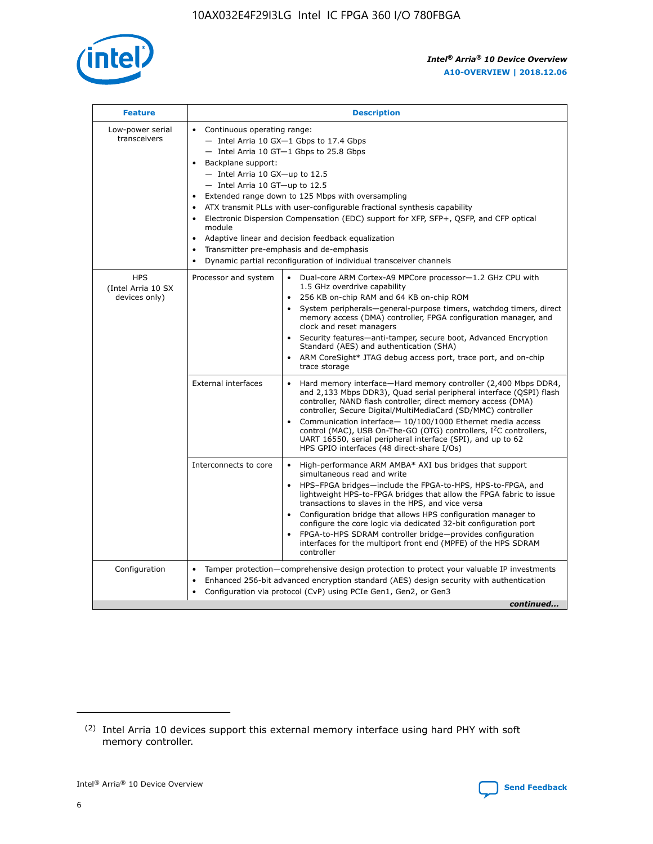

| <b>Feature</b>                                    | <b>Description</b>                                                                                                                                                                                                                                                                                                                                                                                                                                                                                                                                                                                                                                                 |
|---------------------------------------------------|--------------------------------------------------------------------------------------------------------------------------------------------------------------------------------------------------------------------------------------------------------------------------------------------------------------------------------------------------------------------------------------------------------------------------------------------------------------------------------------------------------------------------------------------------------------------------------------------------------------------------------------------------------------------|
| Low-power serial<br>transceivers                  | • Continuous operating range:<br>- Intel Arria 10 GX-1 Gbps to 17.4 Gbps<br>- Intel Arria 10 GT-1 Gbps to 25.8 Gbps<br>Backplane support:<br>$-$ Intel Arria 10 GX-up to 12.5<br>- Intel Arria 10 GT-up to 12.5<br>Extended range down to 125 Mbps with oversampling<br>ATX transmit PLLs with user-configurable fractional synthesis capability<br>$\bullet$<br>Electronic Dispersion Compensation (EDC) support for XFP, SFP+, OSFP, and CFP optical<br>module<br>Adaptive linear and decision feedback equalization<br>$\bullet$<br>Transmitter pre-emphasis and de-emphasis<br>$\bullet$<br>Dynamic partial reconfiguration of individual transceiver channels |
| <b>HPS</b><br>(Intel Arria 10 SX<br>devices only) | • Dual-core ARM Cortex-A9 MPCore processor-1.2 GHz CPU with<br>Processor and system<br>1.5 GHz overdrive capability<br>256 KB on-chip RAM and 64 KB on-chip ROM<br>$\bullet$<br>System peripherals—general-purpose timers, watchdog timers, direct<br>memory access (DMA) controller, FPGA configuration manager, and<br>clock and reset managers<br>Security features—anti-tamper, secure boot, Advanced Encryption<br>$\bullet$<br>Standard (AES) and authentication (SHA)<br>ARM CoreSight* JTAG debug access port, trace port, and on-chip<br>$\bullet$<br>trace storage                                                                                       |
|                                                   | <b>External interfaces</b><br>Hard memory interface-Hard memory controller (2,400 Mbps DDR4,<br>$\bullet$<br>and 2,133 Mbps DDR3), Quad serial peripheral interface (QSPI) flash<br>controller, NAND flash controller, direct memory access (DMA)<br>controller, Secure Digital/MultiMediaCard (SD/MMC) controller<br>Communication interface-10/100/1000 Ethernet media access<br>$\bullet$<br>control (MAC), USB On-The-GO (OTG) controllers, I <sup>2</sup> C controllers,<br>UART 16550, serial peripheral interface (SPI), and up to 62<br>HPS GPIO interfaces (48 direct-share I/Os)                                                                         |
|                                                   | Interconnects to core<br>High-performance ARM AMBA* AXI bus bridges that support<br>$\bullet$<br>simultaneous read and write<br>HPS-FPGA bridges-include the FPGA-to-HPS, HPS-to-FPGA, and<br>$\bullet$<br>lightweight HPS-to-FPGA bridges that allow the FPGA fabric to issue<br>transactions to slaves in the HPS, and vice versa<br>Configuration bridge that allows HPS configuration manager to<br>configure the core logic via dedicated 32-bit configuration port<br>FPGA-to-HPS SDRAM controller bridge-provides configuration<br>interfaces for the multiport front end (MPFE) of the HPS SDRAM<br>controller                                             |
| Configuration                                     | Tamper protection—comprehensive design protection to protect your valuable IP investments<br>Enhanced 256-bit advanced encryption standard (AES) design security with authentication<br>٠<br>Configuration via protocol (CvP) using PCIe Gen1, Gen2, or Gen3<br>continued                                                                                                                                                                                                                                                                                                                                                                                          |

<sup>(2)</sup> Intel Arria 10 devices support this external memory interface using hard PHY with soft memory controller.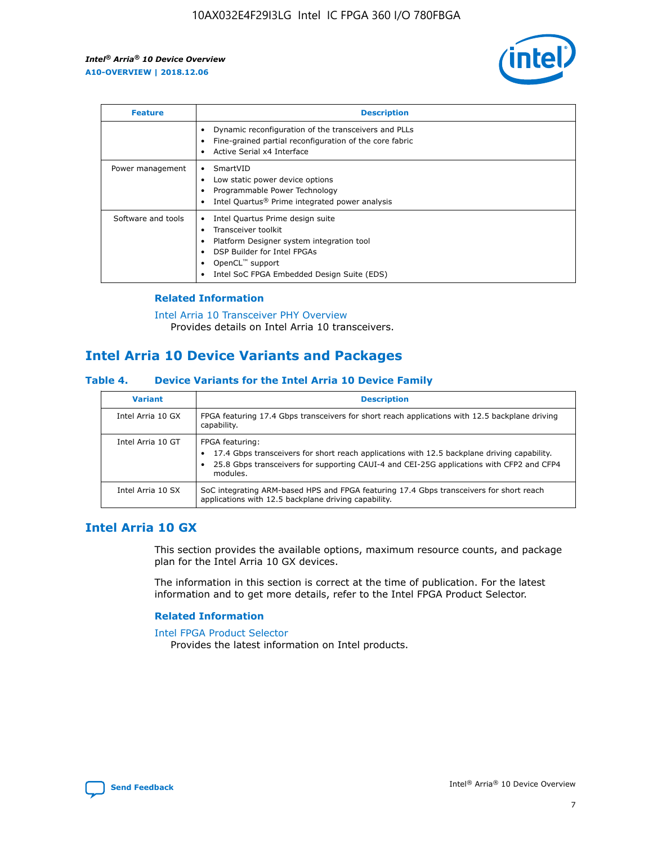

| <b>Feature</b>     | <b>Description</b>                                                                                                                                                                                               |
|--------------------|------------------------------------------------------------------------------------------------------------------------------------------------------------------------------------------------------------------|
|                    | Dynamic reconfiguration of the transceivers and PLLs<br>Fine-grained partial reconfiguration of the core fabric<br>Active Serial x4 Interface                                                                    |
| Power management   | SmartVID<br>Low static power device options<br>Programmable Power Technology<br>Intel Quartus <sup>®</sup> Prime integrated power analysis                                                                       |
| Software and tools | Intel Quartus Prime design suite<br>Transceiver toolkit<br>Platform Designer system integration tool<br>DSP Builder for Intel FPGAs<br>OpenCL <sup>™</sup> support<br>Intel SoC FPGA Embedded Design Suite (EDS) |

# **Related Information**

[Intel Arria 10 Transceiver PHY Overview](https://www.intel.com/content/www/us/en/programmable/documentation/nik1398707230472.html#nik1398706768037) Provides details on Intel Arria 10 transceivers.

# **Intel Arria 10 Device Variants and Packages**

#### **Table 4. Device Variants for the Intel Arria 10 Device Family**

| <b>Variant</b>    | <b>Description</b>                                                                                                                                                                                                     |
|-------------------|------------------------------------------------------------------------------------------------------------------------------------------------------------------------------------------------------------------------|
| Intel Arria 10 GX | FPGA featuring 17.4 Gbps transceivers for short reach applications with 12.5 backplane driving<br>capability.                                                                                                          |
| Intel Arria 10 GT | FPGA featuring:<br>17.4 Gbps transceivers for short reach applications with 12.5 backplane driving capability.<br>25.8 Gbps transceivers for supporting CAUI-4 and CEI-25G applications with CFP2 and CFP4<br>modules. |
| Intel Arria 10 SX | SoC integrating ARM-based HPS and FPGA featuring 17.4 Gbps transceivers for short reach<br>applications with 12.5 backplane driving capability.                                                                        |

# **Intel Arria 10 GX**

This section provides the available options, maximum resource counts, and package plan for the Intel Arria 10 GX devices.

The information in this section is correct at the time of publication. For the latest information and to get more details, refer to the Intel FPGA Product Selector.

#### **Related Information**

#### [Intel FPGA Product Selector](http://www.altera.com/products/selector/psg-selector.html) Provides the latest information on Intel products.

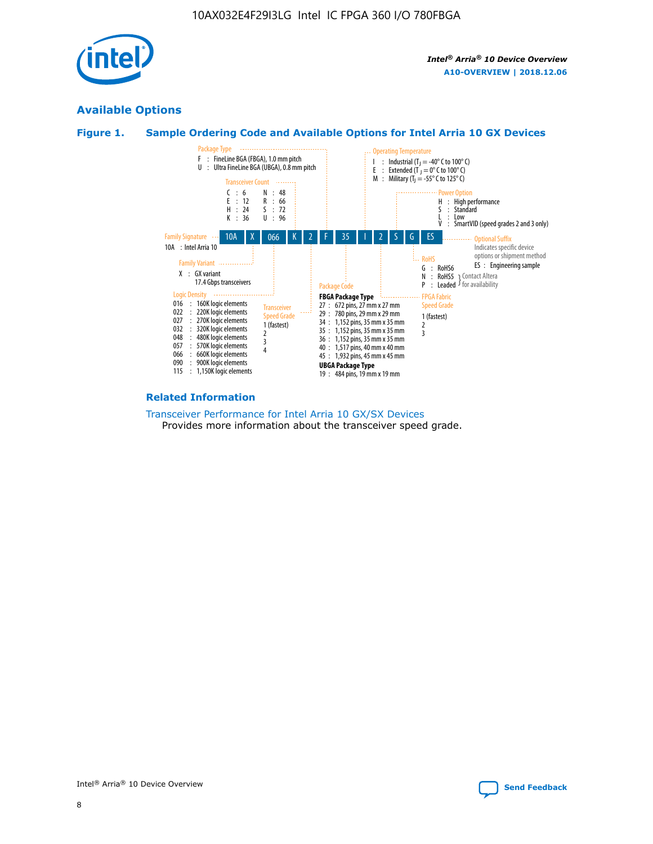

# **Available Options**





#### **Related Information**

#### [Transceiver Performance for Intel Arria 10 GX/SX Devices](https://www.intel.com/content/www/us/en/programmable/documentation/mcn1413182292568.html#mcn1413213965502) Provides more information about the transceiver speed grade.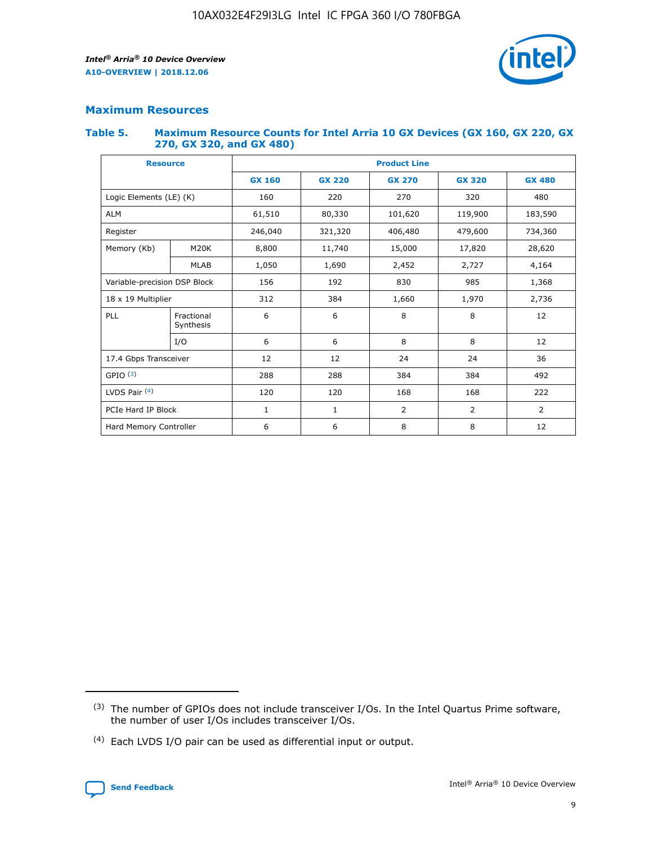

# **Maximum Resources**

#### **Table 5. Maximum Resource Counts for Intel Arria 10 GX Devices (GX 160, GX 220, GX 270, GX 320, and GX 480)**

| <b>Resource</b>              |                         | <b>Product Line</b> |                   |                    |                |                |  |  |  |
|------------------------------|-------------------------|---------------------|-------------------|--------------------|----------------|----------------|--|--|--|
|                              |                         | <b>GX 160</b>       | <b>GX 220</b>     | <b>GX 270</b>      | <b>GX 320</b>  | <b>GX 480</b>  |  |  |  |
| Logic Elements (LE) (K)      |                         | 160                 | 220               | 270                | 320            | 480            |  |  |  |
| <b>ALM</b>                   |                         | 61,510              | 80,330            | 101,620            | 119,900        | 183,590        |  |  |  |
| Register                     |                         | 246,040             | 321,320           | 406,480<br>479,600 |                | 734,360        |  |  |  |
| Memory (Kb)                  | M <sub>20</sub> K       | 8,800               | 11,740<br>15,000  |                    | 17,820         | 28,620         |  |  |  |
| <b>MLAB</b>                  |                         | 1,050               | 1,690             | 2,452              | 2,727          | 4,164          |  |  |  |
| Variable-precision DSP Block |                         | 156                 | 192<br>830<br>985 |                    |                | 1,368          |  |  |  |
| 18 x 19 Multiplier           |                         | 312                 | 384               | 1,970<br>1,660     |                | 2,736          |  |  |  |
| PLL                          | Fractional<br>Synthesis | 6                   | 6                 | 8                  | 8              | 12             |  |  |  |
|                              | I/O                     | 6                   | 6                 | 8                  | 8              | 12             |  |  |  |
| 17.4 Gbps Transceiver        |                         | 12                  | 12                | 24                 | 24             | 36             |  |  |  |
| GPIO <sup>(3)</sup>          |                         | 288                 | 288               | 384<br>384         |                | 492            |  |  |  |
| LVDS Pair $(4)$              |                         | 120                 | 120               | 168                | 168            | 222            |  |  |  |
| PCIe Hard IP Block           |                         | 1                   | 1                 | 2                  | $\overline{2}$ | $\overline{2}$ |  |  |  |
| Hard Memory Controller       |                         | 6                   | 6                 | 8                  | 8              | 12             |  |  |  |

<sup>(4)</sup> Each LVDS I/O pair can be used as differential input or output.



<sup>(3)</sup> The number of GPIOs does not include transceiver I/Os. In the Intel Quartus Prime software, the number of user I/Os includes transceiver I/Os.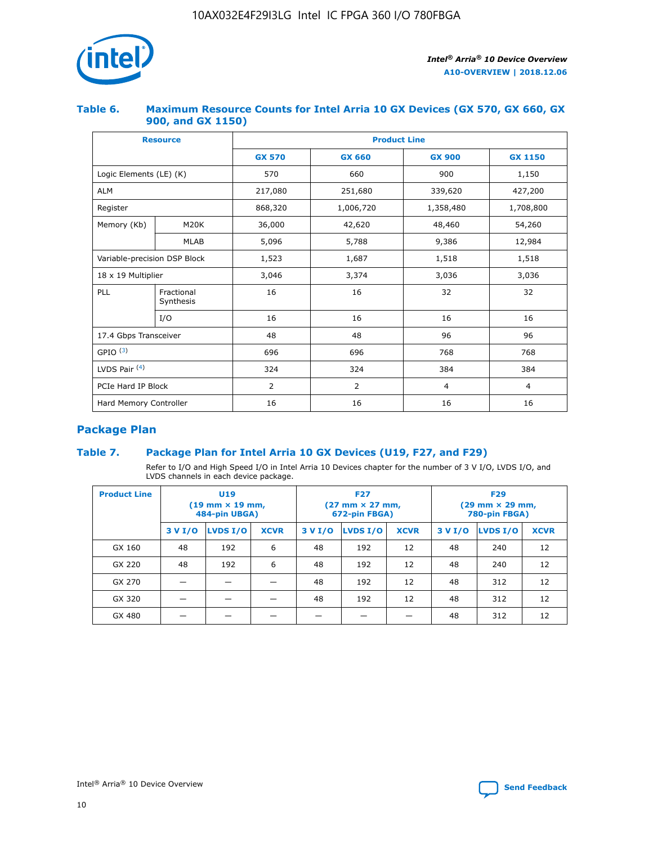

## **Table 6. Maximum Resource Counts for Intel Arria 10 GX Devices (GX 570, GX 660, GX 900, and GX 1150)**

|                              | <b>Resource</b>         | <b>Product Line</b> |                |                |                |  |  |  |
|------------------------------|-------------------------|---------------------|----------------|----------------|----------------|--|--|--|
|                              |                         | <b>GX 570</b>       | <b>GX 660</b>  | <b>GX 900</b>  | <b>GX 1150</b> |  |  |  |
| Logic Elements (LE) (K)      |                         | 570                 | 660            | 900            | 1,150          |  |  |  |
| <b>ALM</b>                   |                         | 217,080             | 251,680        | 339,620        | 427,200        |  |  |  |
| Register                     |                         | 868,320             | 1,006,720      | 1,358,480      | 1,708,800      |  |  |  |
| Memory (Kb)                  | <b>M20K</b>             | 36,000              | 42,620         | 48,460         | 54,260         |  |  |  |
| <b>MLAB</b>                  |                         | 5,096               | 5,788          | 9,386          | 12,984         |  |  |  |
| Variable-precision DSP Block |                         | 1,523               | 1,687          | 1,518          | 1,518          |  |  |  |
| $18 \times 19$ Multiplier    |                         | 3,046               | 3,374          | 3,036          | 3,036          |  |  |  |
| PLL                          | Fractional<br>Synthesis | 16                  | 16             | 32             | 32             |  |  |  |
|                              | I/O                     | 16                  | 16             | 16             | 16             |  |  |  |
| 17.4 Gbps Transceiver        |                         | 48                  | 48             | 96             | 96             |  |  |  |
| GPIO <sup>(3)</sup>          |                         | 696                 | 696            | 768            | 768            |  |  |  |
| LVDS Pair $(4)$              |                         | 324                 | 324            | 384            | 384            |  |  |  |
| PCIe Hard IP Block           |                         | 2                   | $\overline{2}$ | $\overline{4}$ | 4              |  |  |  |
| Hard Memory Controller       |                         | 16                  | 16             | 16             | 16             |  |  |  |

# **Package Plan**

# **Table 7. Package Plan for Intel Arria 10 GX Devices (U19, F27, and F29)**

Refer to I/O and High Speed I/O in Intel Arria 10 Devices chapter for the number of 3 V I/O, LVDS I/O, and LVDS channels in each device package.

| <b>Product Line</b> | U <sub>19</sub><br>$(19 \text{ mm} \times 19 \text{ mm})$<br>484-pin UBGA) |          |             |         | <b>F27</b><br>(27 mm × 27 mm,<br>672-pin FBGA) |             | <b>F29</b><br>(29 mm × 29 mm,<br>780-pin FBGA) |          |             |  |
|---------------------|----------------------------------------------------------------------------|----------|-------------|---------|------------------------------------------------|-------------|------------------------------------------------|----------|-------------|--|
|                     | 3 V I/O                                                                    | LVDS I/O | <b>XCVR</b> | 3 V I/O | LVDS I/O                                       | <b>XCVR</b> | 3 V I/O                                        | LVDS I/O | <b>XCVR</b> |  |
| GX 160              | 48                                                                         | 192      | 6           | 48      | 192                                            | 12          | 48                                             | 240      | 12          |  |
| GX 220              | 48                                                                         | 192      | 6           | 48      | 192                                            | 12          | 48                                             | 240      | 12          |  |
| GX 270              |                                                                            |          |             | 48      | 192                                            | 12          | 48                                             | 312      | 12          |  |
| GX 320              |                                                                            |          |             | 48      | 192                                            | 12          | 48                                             | 312      | 12          |  |
| GX 480              |                                                                            |          |             |         |                                                |             | 48                                             | 312      | 12          |  |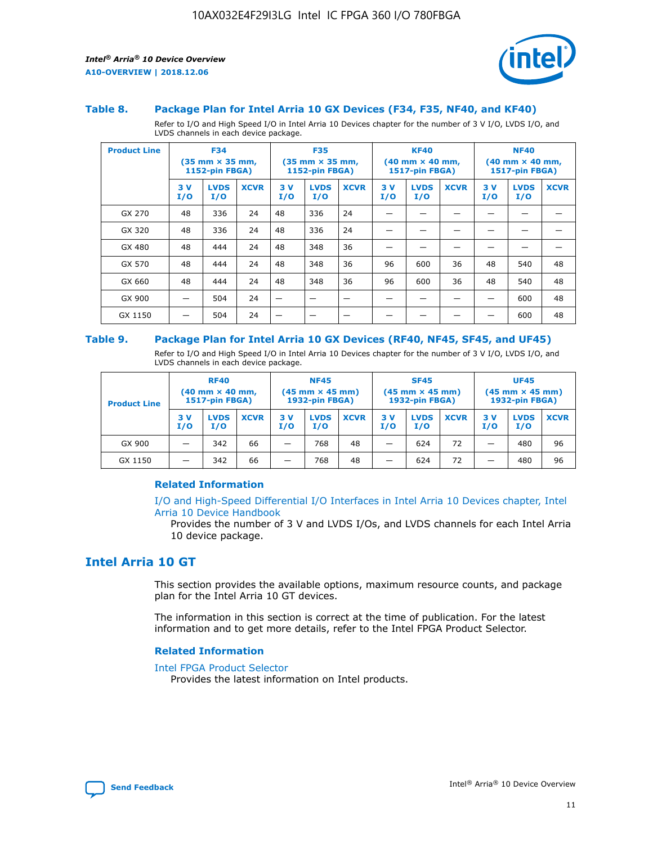

#### **Table 8. Package Plan for Intel Arria 10 GX Devices (F34, F35, NF40, and KF40)**

Refer to I/O and High Speed I/O in Intel Arria 10 Devices chapter for the number of 3 V I/O, LVDS I/O, and LVDS channels in each device package.

| <b>Product Line</b> |           | <b>F34</b><br>$(35 \text{ mm} \times 35 \text{ mm})$<br>1152-pin FBGA) |             | <b>F35</b><br>$(35 \text{ mm} \times 35 \text{ mm})$<br><b>1152-pin FBGA)</b> |                    |             | <b>KF40</b><br>$(40$ mm $\times$ 40 mm,<br>1517-pin FBGA) |                    | <b>NF40</b><br>$(40$ mm $\times$ 40 mm,<br><b>1517-pin FBGA)</b> |            |                    |             |
|---------------------|-----------|------------------------------------------------------------------------|-------------|-------------------------------------------------------------------------------|--------------------|-------------|-----------------------------------------------------------|--------------------|------------------------------------------------------------------|------------|--------------------|-------------|
|                     | 3V<br>I/O | <b>LVDS</b><br>I/O                                                     | <b>XCVR</b> | 3V<br>I/O                                                                     | <b>LVDS</b><br>I/O | <b>XCVR</b> | 3V<br>I/O                                                 | <b>LVDS</b><br>I/O | <b>XCVR</b>                                                      | 3 V<br>I/O | <b>LVDS</b><br>I/O | <b>XCVR</b> |
| GX 270              | 48        | 336                                                                    | 24          | 48                                                                            | 336                | 24          |                                                           |                    |                                                                  |            |                    |             |
| GX 320              | 48        | 336                                                                    | 24          | 48                                                                            | 336                | 24          |                                                           |                    |                                                                  |            |                    |             |
| GX 480              | 48        | 444                                                                    | 24          | 48                                                                            | 348                | 36          |                                                           |                    |                                                                  |            |                    |             |
| GX 570              | 48        | 444                                                                    | 24          | 48                                                                            | 348                | 36          | 96                                                        | 600                | 36                                                               | 48         | 540                | 48          |
| GX 660              | 48        | 444                                                                    | 24          | 48                                                                            | 348                | 36          | 96                                                        | 600                | 36                                                               | 48         | 540                | 48          |
| GX 900              |           | 504                                                                    | 24          | -                                                                             |                    |             |                                                           |                    |                                                                  |            | 600                | 48          |
| GX 1150             |           | 504                                                                    | 24          |                                                                               |                    |             |                                                           |                    |                                                                  |            | 600                | 48          |

#### **Table 9. Package Plan for Intel Arria 10 GX Devices (RF40, NF45, SF45, and UF45)**

Refer to I/O and High Speed I/O in Intel Arria 10 Devices chapter for the number of 3 V I/O, LVDS I/O, and LVDS channels in each device package.

| <b>Product Line</b> | <b>RF40</b><br>$(40$ mm $\times$ 40 mm,<br>1517-pin FBGA) |                    |             | <b>NF45</b><br>$(45 \text{ mm} \times 45 \text{ mm})$<br><b>1932-pin FBGA)</b> |                    |             | <b>SF45</b><br>$(45 \text{ mm} \times 45 \text{ mm})$<br><b>1932-pin FBGA)</b> |                    |             | <b>UF45</b><br>$(45 \text{ mm} \times 45 \text{ mm})$<br><b>1932-pin FBGA)</b> |                    |             |
|---------------------|-----------------------------------------------------------|--------------------|-------------|--------------------------------------------------------------------------------|--------------------|-------------|--------------------------------------------------------------------------------|--------------------|-------------|--------------------------------------------------------------------------------|--------------------|-------------|
|                     | 3V<br>I/O                                                 | <b>LVDS</b><br>I/O | <b>XCVR</b> | 3 V<br>I/O                                                                     | <b>LVDS</b><br>I/O | <b>XCVR</b> | 3 V<br>I/O                                                                     | <b>LVDS</b><br>I/O | <b>XCVR</b> | 3V<br>I/O                                                                      | <b>LVDS</b><br>I/O | <b>XCVR</b> |
| GX 900              |                                                           | 342                | 66          | _                                                                              | 768                | 48          |                                                                                | 624                | 72          |                                                                                | 480                | 96          |
| GX 1150             |                                                           | 342                | 66          | _                                                                              | 768                | 48          |                                                                                | 624                | 72          |                                                                                | 480                | 96          |

## **Related Information**

[I/O and High-Speed Differential I/O Interfaces in Intel Arria 10 Devices chapter, Intel](https://www.intel.com/content/www/us/en/programmable/documentation/sam1403482614086.html#sam1403482030321) [Arria 10 Device Handbook](https://www.intel.com/content/www/us/en/programmable/documentation/sam1403482614086.html#sam1403482030321)

Provides the number of 3 V and LVDS I/Os, and LVDS channels for each Intel Arria 10 device package.

# **Intel Arria 10 GT**

This section provides the available options, maximum resource counts, and package plan for the Intel Arria 10 GT devices.

The information in this section is correct at the time of publication. For the latest information and to get more details, refer to the Intel FPGA Product Selector.

#### **Related Information**

#### [Intel FPGA Product Selector](http://www.altera.com/products/selector/psg-selector.html)

Provides the latest information on Intel products.

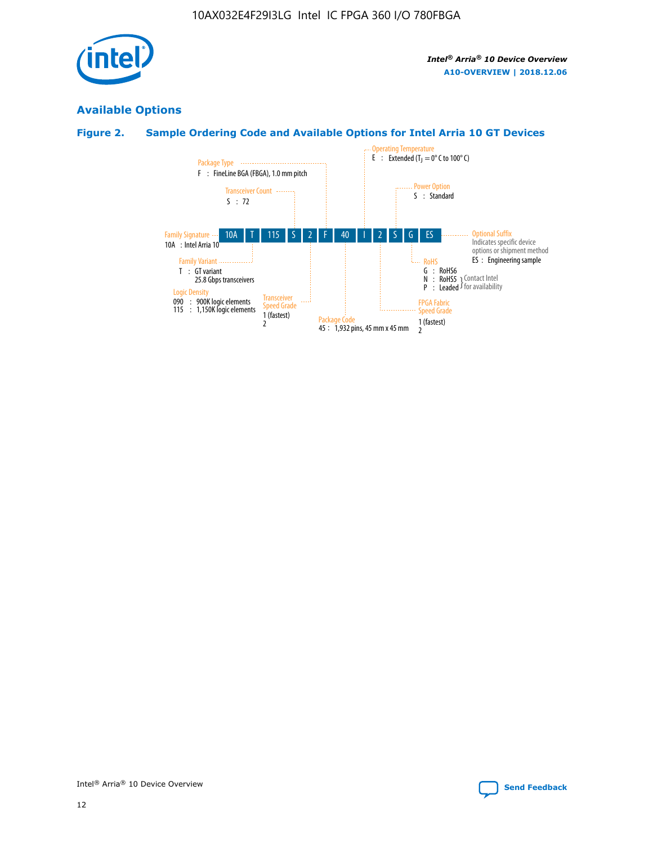

# **Available Options**

# **Figure 2. Sample Ordering Code and Available Options for Intel Arria 10 GT Devices**

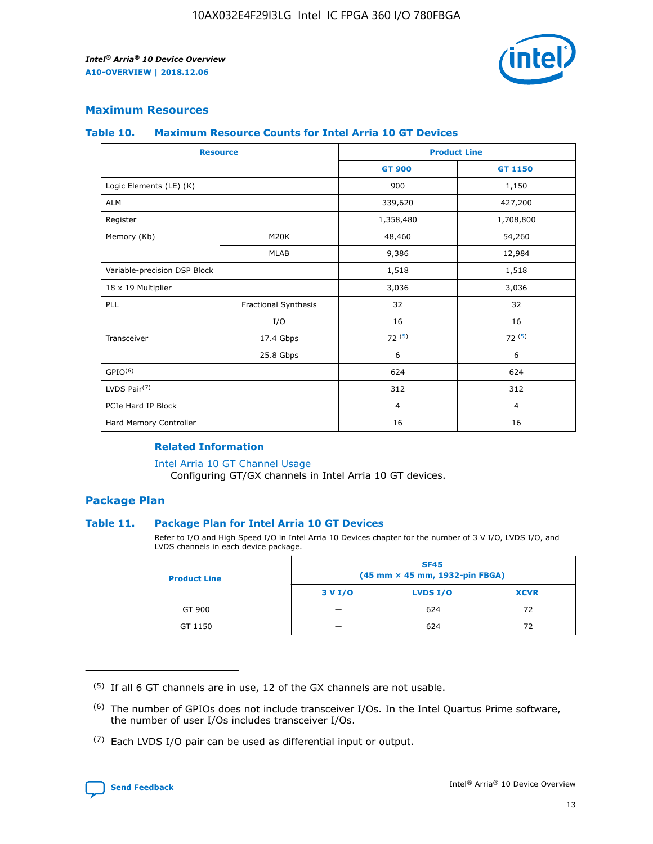

# **Maximum Resources**

#### **Table 10. Maximum Resource Counts for Intel Arria 10 GT Devices**

| <b>Resource</b>              |                      | <b>Product Line</b> |                |  |
|------------------------------|----------------------|---------------------|----------------|--|
|                              |                      | <b>GT 900</b>       | <b>GT 1150</b> |  |
| Logic Elements (LE) (K)      |                      | 900                 | 1,150          |  |
| <b>ALM</b>                   |                      | 339,620             | 427,200        |  |
| Register                     |                      | 1,358,480           | 1,708,800      |  |
| Memory (Kb)                  | M20K                 | 48,460              | 54,260         |  |
|                              | <b>MLAB</b>          | 9,386               | 12,984         |  |
| Variable-precision DSP Block |                      | 1,518               | 1,518          |  |
| 18 x 19 Multiplier           |                      | 3,036               | 3,036          |  |
| PLL                          | Fractional Synthesis | 32                  | 32             |  |
|                              | I/O                  | 16                  | 16             |  |
| Transceiver                  | 17.4 Gbps            | 72(5)               | 72(5)          |  |
|                              | 25.8 Gbps            | 6                   | 6              |  |
| GPIO <sup>(6)</sup>          |                      | 624                 | 624            |  |
| LVDS Pair $(7)$              |                      | 312                 | 312            |  |
| PCIe Hard IP Block           |                      | $\overline{4}$      | $\overline{4}$ |  |
| Hard Memory Controller       |                      | 16                  | 16             |  |

## **Related Information**

#### [Intel Arria 10 GT Channel Usage](https://www.intel.com/content/www/us/en/programmable/documentation/nik1398707230472.html#nik1398707008178)

Configuring GT/GX channels in Intel Arria 10 GT devices.

# **Package Plan**

## **Table 11. Package Plan for Intel Arria 10 GT Devices**

Refer to I/O and High Speed I/O in Intel Arria 10 Devices chapter for the number of 3 V I/O, LVDS I/O, and LVDS channels in each device package.

| <b>Product Line</b> | <b>SF45</b><br>(45 mm × 45 mm, 1932-pin FBGA) |                 |             |  |  |  |
|---------------------|-----------------------------------------------|-----------------|-------------|--|--|--|
|                     | 3 V I/O                                       | <b>LVDS I/O</b> | <b>XCVR</b> |  |  |  |
| GT 900              |                                               | 624             | 72          |  |  |  |
| GT 1150             |                                               | 624             | 72          |  |  |  |

<sup>(7)</sup> Each LVDS I/O pair can be used as differential input or output.



 $(5)$  If all 6 GT channels are in use, 12 of the GX channels are not usable.

<sup>(6)</sup> The number of GPIOs does not include transceiver I/Os. In the Intel Quartus Prime software, the number of user I/Os includes transceiver I/Os.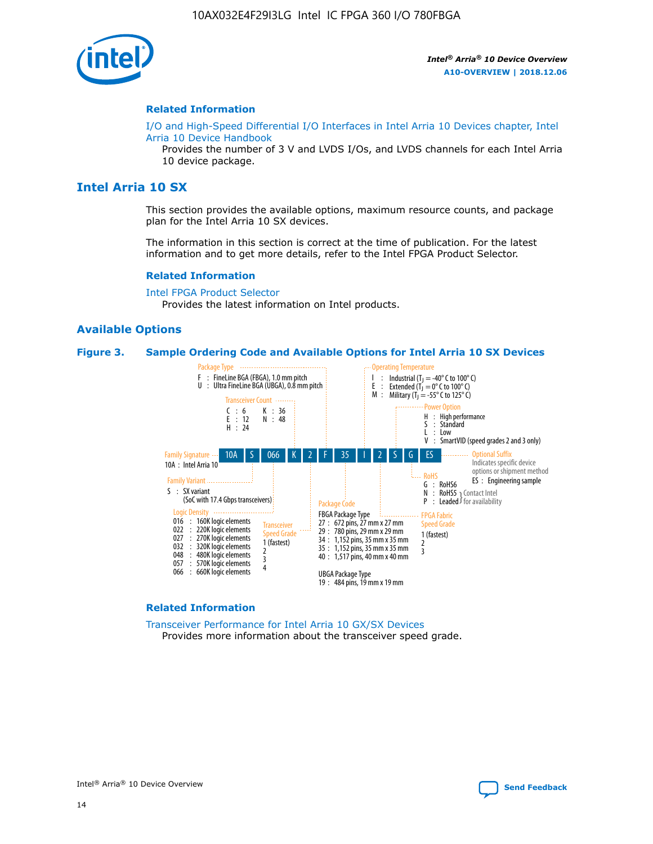

#### **Related Information**

[I/O and High-Speed Differential I/O Interfaces in Intel Arria 10 Devices chapter, Intel](https://www.intel.com/content/www/us/en/programmable/documentation/sam1403482614086.html#sam1403482030321) [Arria 10 Device Handbook](https://www.intel.com/content/www/us/en/programmable/documentation/sam1403482614086.html#sam1403482030321)

Provides the number of 3 V and LVDS I/Os, and LVDS channels for each Intel Arria 10 device package.

# **Intel Arria 10 SX**

This section provides the available options, maximum resource counts, and package plan for the Intel Arria 10 SX devices.

The information in this section is correct at the time of publication. For the latest information and to get more details, refer to the Intel FPGA Product Selector.

#### **Related Information**

[Intel FPGA Product Selector](http://www.altera.com/products/selector/psg-selector.html) Provides the latest information on Intel products.

## **Available Options**

#### **Figure 3. Sample Ordering Code and Available Options for Intel Arria 10 SX Devices**



#### **Related Information**

[Transceiver Performance for Intel Arria 10 GX/SX Devices](https://www.intel.com/content/www/us/en/programmable/documentation/mcn1413182292568.html#mcn1413213965502) Provides more information about the transceiver speed grade.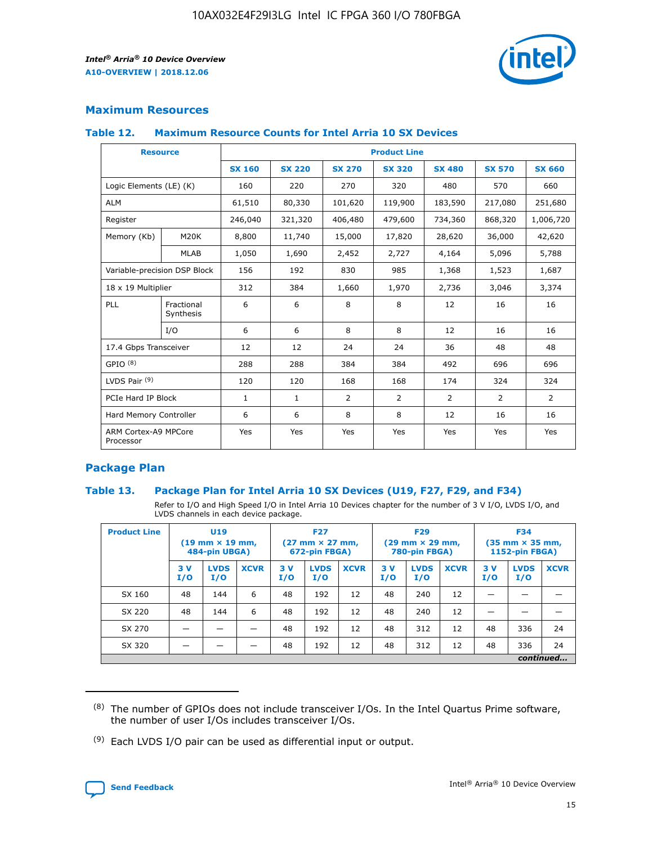

# **Maximum Resources**

#### **Table 12. Maximum Resource Counts for Intel Arria 10 SX Devices**

| <b>Resource</b>                   |                         | <b>Product Line</b> |               |               |                |               |               |               |  |  |  |
|-----------------------------------|-------------------------|---------------------|---------------|---------------|----------------|---------------|---------------|---------------|--|--|--|
|                                   |                         | <b>SX 160</b>       | <b>SX 220</b> | <b>SX 270</b> | <b>SX 320</b>  | <b>SX 480</b> | <b>SX 570</b> | <b>SX 660</b> |  |  |  |
| Logic Elements (LE) (K)           |                         | 160                 | 220           | 270           | 320            | 480           | 570           | 660           |  |  |  |
| <b>ALM</b>                        |                         | 61,510              | 80,330        | 101,620       | 119,900        | 183,590       | 217,080       | 251,680       |  |  |  |
| Register                          |                         | 246,040             | 321,320       | 406,480       | 479,600        | 734,360       | 868,320       | 1,006,720     |  |  |  |
| Memory (Kb)                       | M20K                    | 8,800               | 11,740        | 15,000        | 17,820         | 28,620        | 36,000        | 42,620        |  |  |  |
|                                   | <b>MLAB</b>             | 1,050               | 1,690         | 2,452         | 2,727          | 4,164         | 5,096         | 5,788         |  |  |  |
| Variable-precision DSP Block      |                         | 156                 | 192           | 830           | 985            | 1,368         | 1,523         | 1,687         |  |  |  |
| 18 x 19 Multiplier                |                         | 312                 | 384           | 1,660         | 1,970          | 2,736         | 3,046         | 3,374         |  |  |  |
| PLL                               | Fractional<br>Synthesis | 6                   | 6             | 8             | 8              | 12            | 16            | 16            |  |  |  |
|                                   | I/O                     | 6                   | 6             | 8             | 8              | 12            | 16            | 16            |  |  |  |
| 17.4 Gbps Transceiver             |                         | 12                  | 12            | 24            | 24             | 36            | 48            | 48            |  |  |  |
| GPIO <sup>(8)</sup>               |                         | 288                 | 288           | 384           | 384            | 492           | 696           | 696           |  |  |  |
| LVDS Pair $(9)$                   |                         | 120                 | 120           | 168           | 168            | 174           | 324           | 324           |  |  |  |
|                                   | PCIe Hard IP Block      |                     | $\mathbf{1}$  | 2             | $\overline{2}$ | 2             | 2             | 2             |  |  |  |
| Hard Memory Controller            |                         | 6                   | 6             | 8             | 8              | 12            | 16            | 16            |  |  |  |
| ARM Cortex-A9 MPCore<br>Processor |                         | Yes                 | Yes           | Yes           | Yes            | Yes           | Yes           | Yes           |  |  |  |

# **Package Plan**

## **Table 13. Package Plan for Intel Arria 10 SX Devices (U19, F27, F29, and F34)**

Refer to I/O and High Speed I/O in Intel Arria 10 Devices chapter for the number of 3 V I/O, LVDS I/O, and LVDS channels in each device package.

| <b>Product Line</b> | U <sub>19</sub><br>$(19 \text{ mm} \times 19 \text{ mm})$ .<br>484-pin UBGA) |                    |             | <b>F27</b><br>$(27 \text{ mm} \times 27 \text{ mm})$<br>672-pin FBGA) |                    | <b>F29</b><br>$(29 \text{ mm} \times 29 \text{ mm})$<br>780-pin FBGA) |           |                    | <b>F34</b><br>$(35 \text{ mm} \times 35 \text{ mm})$<br><b>1152-pin FBGA)</b> |           |                    |             |
|---------------------|------------------------------------------------------------------------------|--------------------|-------------|-----------------------------------------------------------------------|--------------------|-----------------------------------------------------------------------|-----------|--------------------|-------------------------------------------------------------------------------|-----------|--------------------|-------------|
|                     | 3V<br>I/O                                                                    | <b>LVDS</b><br>I/O | <b>XCVR</b> | 3V<br>I/O                                                             | <b>LVDS</b><br>I/O | <b>XCVR</b>                                                           | 3V<br>I/O | <b>LVDS</b><br>I/O | <b>XCVR</b>                                                                   | 3V<br>I/O | <b>LVDS</b><br>I/O | <b>XCVR</b> |
| SX 160              | 48                                                                           | 144                | 6           | 48                                                                    | 192                | 12                                                                    | 48        | 240                | 12                                                                            |           |                    |             |
| SX 220              | 48                                                                           | 144                | 6           | 48                                                                    | 192                | 12                                                                    | 48        | 240                | 12                                                                            |           |                    |             |
| SX 270              |                                                                              |                    |             | 48                                                                    | 192                | 12                                                                    | 48        | 312                | 12                                                                            | 48        | 336                | 24          |
| SX 320              |                                                                              |                    |             | 48                                                                    | 192                | 12                                                                    | 48        | 312                | 12                                                                            | 48        | 336                | 24          |
|                     | continued                                                                    |                    |             |                                                                       |                    |                                                                       |           |                    |                                                                               |           |                    |             |

 $(8)$  The number of GPIOs does not include transceiver I/Os. In the Intel Quartus Prime software, the number of user I/Os includes transceiver I/Os.

 $(9)$  Each LVDS I/O pair can be used as differential input or output.

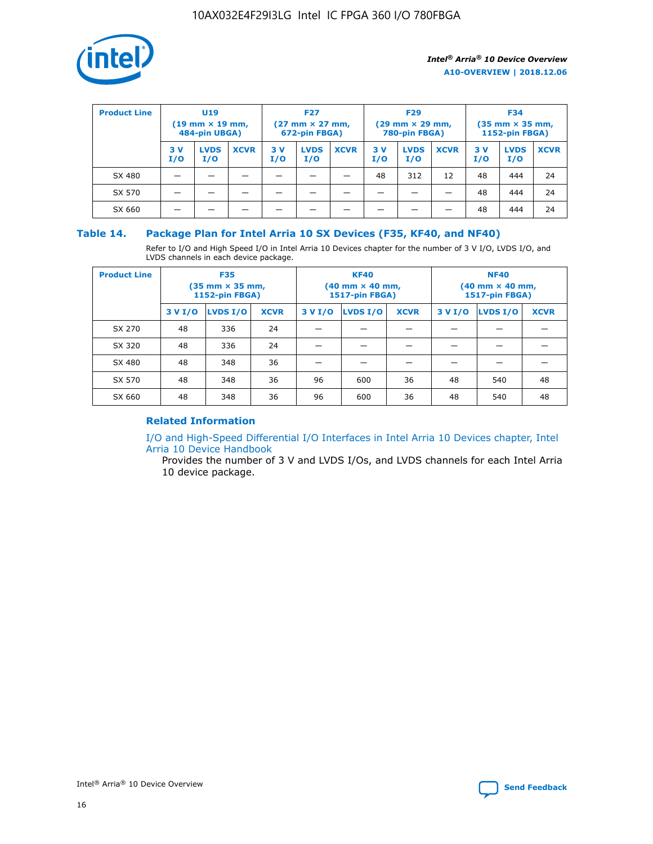

| <b>Product Line</b> | U <sub>19</sub><br>$(19 \text{ mm} \times 19 \text{ mm})$<br>484-pin UBGA) |                    | <b>F27</b><br>$(27 \text{ mm} \times 27 \text{ mm})$<br>672-pin FBGA) |           | <b>F29</b><br>$(29 \text{ mm} \times 29 \text{ mm})$<br>780-pin FBGA) |             |           | <b>F34</b><br>$(35$ mm $\times$ 35 mm,<br><b>1152-pin FBGA)</b> |             |           |                    |             |
|---------------------|----------------------------------------------------------------------------|--------------------|-----------------------------------------------------------------------|-----------|-----------------------------------------------------------------------|-------------|-----------|-----------------------------------------------------------------|-------------|-----------|--------------------|-------------|
|                     | 3V<br>I/O                                                                  | <b>LVDS</b><br>I/O | <b>XCVR</b>                                                           | 3V<br>I/O | <b>LVDS</b><br>I/O                                                    | <b>XCVR</b> | 3V<br>I/O | <b>LVDS</b><br>I/O                                              | <b>XCVR</b> | 3V<br>I/O | <b>LVDS</b><br>I/O | <b>XCVR</b> |
| SX 480              |                                                                            |                    |                                                                       |           |                                                                       |             | 48        | 312                                                             | 12          | 48        | 444                | 24          |
| SX 570              |                                                                            |                    |                                                                       |           |                                                                       |             |           |                                                                 |             | 48        | 444                | 24          |
| SX 660              |                                                                            |                    |                                                                       |           |                                                                       |             |           |                                                                 |             | 48        | 444                | 24          |

## **Table 14. Package Plan for Intel Arria 10 SX Devices (F35, KF40, and NF40)**

Refer to I/O and High Speed I/O in Intel Arria 10 Devices chapter for the number of 3 V I/O, LVDS I/O, and LVDS channels in each device package.

| <b>Product Line</b> | <b>F35</b><br>$(35 \text{ mm} \times 35 \text{ mm})$<br><b>1152-pin FBGA)</b> |          |             |                                           | <b>KF40</b><br>(40 mm × 40 mm,<br>1517-pin FBGA) |    | <b>NF40</b><br>$(40 \text{ mm} \times 40 \text{ mm})$<br>1517-pin FBGA) |          |             |  |
|---------------------|-------------------------------------------------------------------------------|----------|-------------|-------------------------------------------|--------------------------------------------------|----|-------------------------------------------------------------------------|----------|-------------|--|
|                     | 3 V I/O                                                                       | LVDS I/O | <b>XCVR</b> | <b>LVDS I/O</b><br><b>XCVR</b><br>3 V I/O |                                                  |    | 3 V I/O                                                                 | LVDS I/O | <b>XCVR</b> |  |
| SX 270              | 48                                                                            | 336      | 24          |                                           |                                                  |    |                                                                         |          |             |  |
| SX 320              | 48                                                                            | 336      | 24          |                                           |                                                  |    |                                                                         |          |             |  |
| SX 480              | 48                                                                            | 348      | 36          |                                           |                                                  |    |                                                                         |          |             |  |
| SX 570              | 48                                                                            | 348      | 36          | 96<br>36<br>600                           |                                                  | 48 | 540                                                                     | 48       |             |  |
| SX 660              | 48                                                                            | 348      | 36          | 96                                        | 600                                              | 36 | 48                                                                      | 540      | 48          |  |

# **Related Information**

[I/O and High-Speed Differential I/O Interfaces in Intel Arria 10 Devices chapter, Intel](https://www.intel.com/content/www/us/en/programmable/documentation/sam1403482614086.html#sam1403482030321) [Arria 10 Device Handbook](https://www.intel.com/content/www/us/en/programmable/documentation/sam1403482614086.html#sam1403482030321)

Provides the number of 3 V and LVDS I/Os, and LVDS channels for each Intel Arria 10 device package.

Intel<sup>®</sup> Arria<sup>®</sup> 10 Device Overview **[Send Feedback](mailto:FPGAtechdocfeedback@intel.com?subject=Feedback%20on%20Intel%20Arria%2010%20Device%20Overview%20(A10-OVERVIEW%202018.12.06)&body=We%20appreciate%20your%20feedback.%20In%20your%20comments,%20also%20specify%20the%20page%20number%20or%20paragraph.%20Thank%20you.)** Send Feedback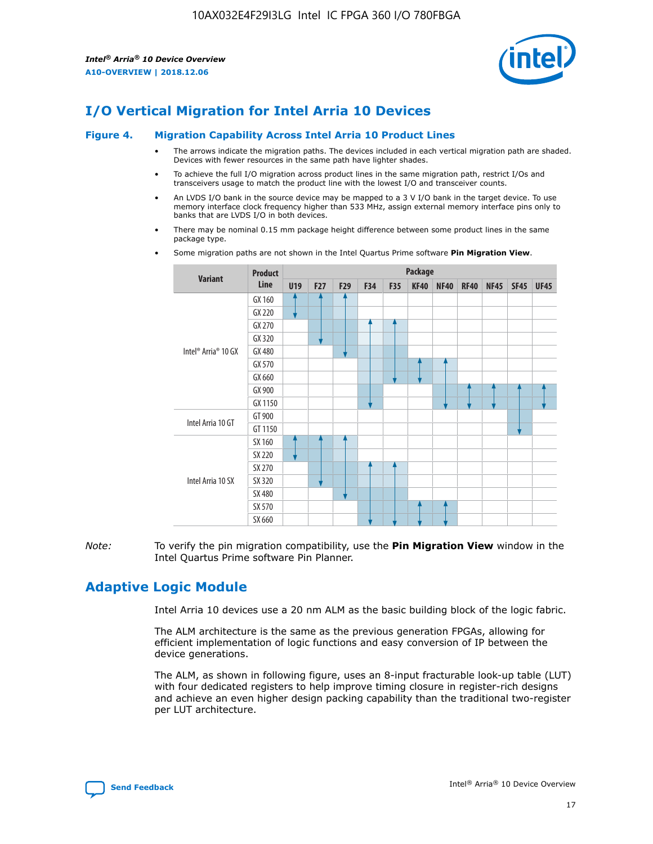

# **I/O Vertical Migration for Intel Arria 10 Devices**

#### **Figure 4. Migration Capability Across Intel Arria 10 Product Lines**

- The arrows indicate the migration paths. The devices included in each vertical migration path are shaded. Devices with fewer resources in the same path have lighter shades.
- To achieve the full I/O migration across product lines in the same migration path, restrict I/Os and transceivers usage to match the product line with the lowest I/O and transceiver counts.
- An LVDS I/O bank in the source device may be mapped to a 3 V I/O bank in the target device. To use memory interface clock frequency higher than 533 MHz, assign external memory interface pins only to banks that are LVDS I/O in both devices.
- There may be nominal 0.15 mm package height difference between some product lines in the same package type.
	- **Variant Product Line Package U19 F27 F29 F34 F35 KF40 NF40 RF40 NF45 SF45 UF45** Intel® Arria® 10 GX GX 160 GX 220 GX 270 GX 320 GX 480 GX 570 GX 660 GX 900 GX 1150 Intel Arria 10 GT GT 900 GT 1150 Intel Arria 10 SX SX 160 SX 220 SX 270 SX 320 SX 480 SX 570 SX 660
- Some migration paths are not shown in the Intel Quartus Prime software **Pin Migration View**.

*Note:* To verify the pin migration compatibility, use the **Pin Migration View** window in the Intel Quartus Prime software Pin Planner.

# **Adaptive Logic Module**

Intel Arria 10 devices use a 20 nm ALM as the basic building block of the logic fabric.

The ALM architecture is the same as the previous generation FPGAs, allowing for efficient implementation of logic functions and easy conversion of IP between the device generations.

The ALM, as shown in following figure, uses an 8-input fracturable look-up table (LUT) with four dedicated registers to help improve timing closure in register-rich designs and achieve an even higher design packing capability than the traditional two-register per LUT architecture.

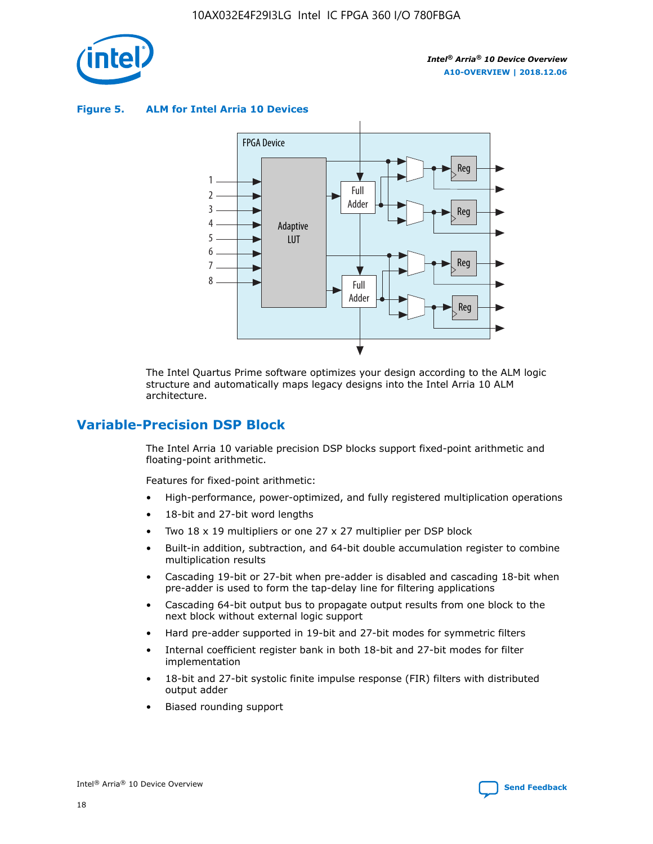

**Figure 5. ALM for Intel Arria 10 Devices**



The Intel Quartus Prime software optimizes your design according to the ALM logic structure and automatically maps legacy designs into the Intel Arria 10 ALM architecture.

# **Variable-Precision DSP Block**

The Intel Arria 10 variable precision DSP blocks support fixed-point arithmetic and floating-point arithmetic.

Features for fixed-point arithmetic:

- High-performance, power-optimized, and fully registered multiplication operations
- 18-bit and 27-bit word lengths
- Two 18 x 19 multipliers or one 27 x 27 multiplier per DSP block
- Built-in addition, subtraction, and 64-bit double accumulation register to combine multiplication results
- Cascading 19-bit or 27-bit when pre-adder is disabled and cascading 18-bit when pre-adder is used to form the tap-delay line for filtering applications
- Cascading 64-bit output bus to propagate output results from one block to the next block without external logic support
- Hard pre-adder supported in 19-bit and 27-bit modes for symmetric filters
- Internal coefficient register bank in both 18-bit and 27-bit modes for filter implementation
- 18-bit and 27-bit systolic finite impulse response (FIR) filters with distributed output adder
- Biased rounding support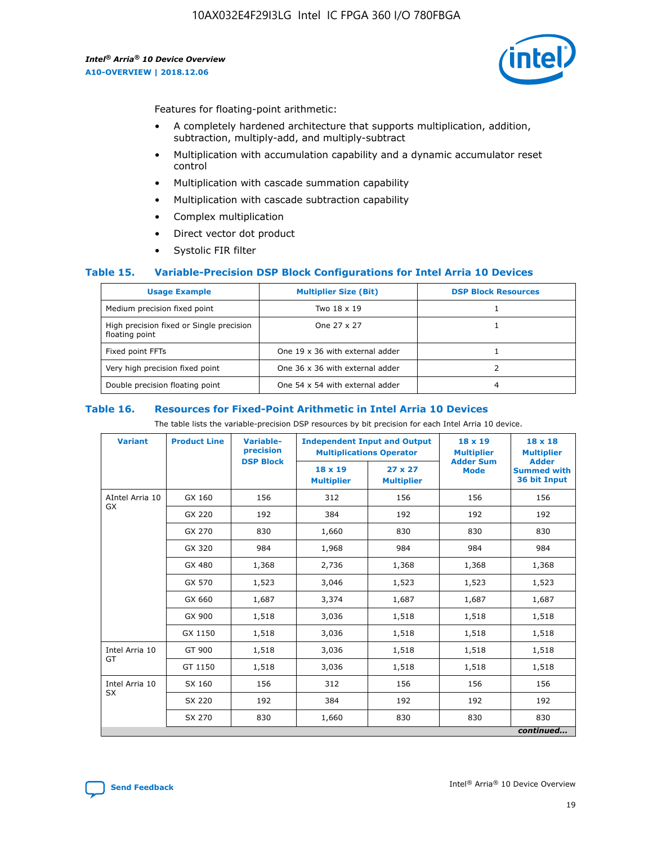

Features for floating-point arithmetic:

- A completely hardened architecture that supports multiplication, addition, subtraction, multiply-add, and multiply-subtract
- Multiplication with accumulation capability and a dynamic accumulator reset control
- Multiplication with cascade summation capability
- Multiplication with cascade subtraction capability
- Complex multiplication
- Direct vector dot product
- Systolic FIR filter

## **Table 15. Variable-Precision DSP Block Configurations for Intel Arria 10 Devices**

| <b>Usage Example</b>                                       | <b>Multiplier Size (Bit)</b>    | <b>DSP Block Resources</b> |
|------------------------------------------------------------|---------------------------------|----------------------------|
| Medium precision fixed point                               | Two 18 x 19                     |                            |
| High precision fixed or Single precision<br>floating point | One 27 x 27                     |                            |
| Fixed point FFTs                                           | One 19 x 36 with external adder |                            |
| Very high precision fixed point                            | One 36 x 36 with external adder |                            |
| Double precision floating point                            | One 54 x 54 with external adder | 4                          |

#### **Table 16. Resources for Fixed-Point Arithmetic in Intel Arria 10 Devices**

The table lists the variable-precision DSP resources by bit precision for each Intel Arria 10 device.

| <b>Variant</b>  | <b>Product Line</b> | <b>Variable-</b><br>precision<br><b>DSP Block</b> | <b>Independent Input and Output</b><br><b>Multiplications Operator</b> |                                     | 18 x 19<br><b>Multiplier</b><br><b>Adder Sum</b> | $18 \times 18$<br><b>Multiplier</b><br><b>Adder</b> |
|-----------------|---------------------|---------------------------------------------------|------------------------------------------------------------------------|-------------------------------------|--------------------------------------------------|-----------------------------------------------------|
|                 |                     |                                                   | 18 x 19<br><b>Multiplier</b>                                           | $27 \times 27$<br><b>Multiplier</b> | <b>Mode</b>                                      | <b>Summed with</b><br>36 bit Input                  |
| AIntel Arria 10 | GX 160              | 156                                               | 312                                                                    | 156                                 | 156                                              | 156                                                 |
| GX              | GX 220              | 192                                               | 384                                                                    | 192                                 | 192                                              | 192                                                 |
|                 | GX 270              | 830                                               | 1,660                                                                  | 830                                 | 830                                              | 830                                                 |
|                 | GX 320              | 984                                               | 1,968                                                                  | 984                                 | 984                                              | 984                                                 |
|                 | GX 480              | 1,368                                             | 2,736                                                                  | 1,368                               | 1,368                                            | 1,368                                               |
|                 | GX 570              | 1,523                                             | 3,046                                                                  | 1,523                               | 1,523                                            | 1,523                                               |
|                 | GX 660              | 1,687                                             | 3,374                                                                  | 1,687                               | 1,687                                            | 1,687                                               |
|                 | GX 900              | 1,518                                             | 3,036                                                                  | 1,518                               | 1,518                                            | 1,518                                               |
|                 | GX 1150             | 1,518                                             | 3,036                                                                  | 1,518                               | 1,518                                            | 1,518                                               |
| Intel Arria 10  | GT 900              | 1,518                                             | 3,036                                                                  | 1,518                               | 1,518                                            | 1,518                                               |
| GT              | GT 1150             | 1,518                                             | 3,036                                                                  | 1,518                               | 1,518                                            | 1,518                                               |
| Intel Arria 10  | SX 160              | 156                                               | 312                                                                    | 156                                 | 156                                              | 156                                                 |
| <b>SX</b>       | SX 220<br>192       |                                                   | 384                                                                    | 192                                 | 192                                              | 192                                                 |
|                 | SX 270              | 830                                               | 1,660                                                                  | 830                                 | 830                                              | 830                                                 |
|                 |                     |                                                   |                                                                        |                                     |                                                  | continued                                           |

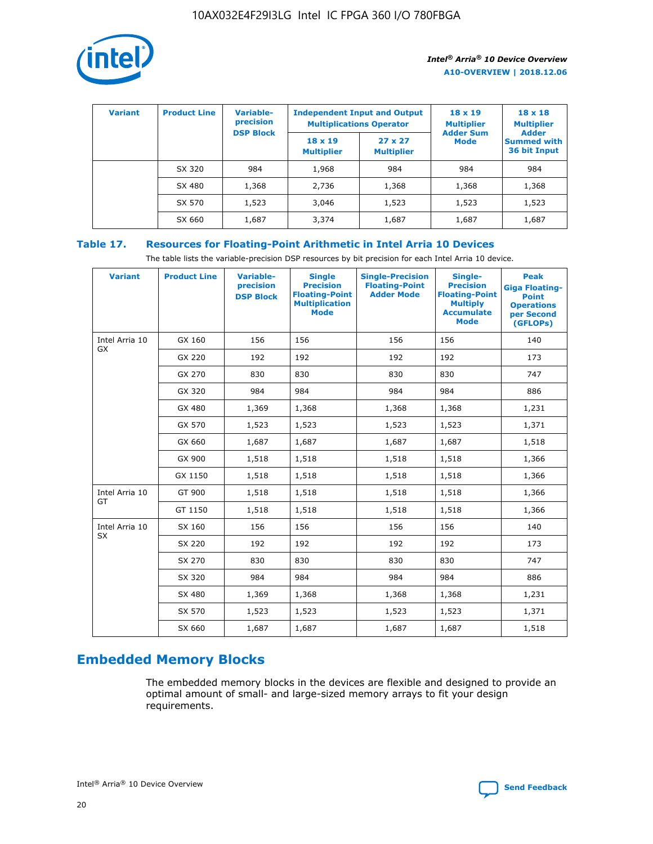

| <b>Variant</b> | <b>Product Line</b> | Variable-<br>precision | <b>Independent Input and Output</b><br><b>Multiplications Operator</b> |                                     | $18 \times 19$<br><b>Multiplier</b> | $18 \times 18$<br><b>Multiplier</b><br><b>Adder</b> |  |
|----------------|---------------------|------------------------|------------------------------------------------------------------------|-------------------------------------|-------------------------------------|-----------------------------------------------------|--|
|                |                     | <b>DSP Block</b>       | $18 \times 19$<br><b>Multiplier</b>                                    | $27 \times 27$<br><b>Multiplier</b> | <b>Adder Sum</b><br><b>Mode</b>     | <b>Summed with</b><br>36 bit Input                  |  |
|                | SX 320              | 984                    | 1,968                                                                  | 984                                 | 984                                 | 984                                                 |  |
|                | SX 480              | 1,368                  | 2,736                                                                  | 1,368                               | 1,368                               | 1,368                                               |  |
|                | SX 570              | 1,523                  | 3,046                                                                  | 1,523                               | 1,523                               | 1,523                                               |  |
|                | SX 660              | 1,687                  | 3,374                                                                  | 1,687                               | 1,687                               | 1,687                                               |  |

# **Table 17. Resources for Floating-Point Arithmetic in Intel Arria 10 Devices**

The table lists the variable-precision DSP resources by bit precision for each Intel Arria 10 device.

| <b>Variant</b> | <b>Product Line</b> | <b>Variable-</b><br>precision<br><b>DSP Block</b> | <b>Single</b><br><b>Precision</b><br><b>Floating-Point</b><br><b>Multiplication</b><br><b>Mode</b> | <b>Single-Precision</b><br><b>Floating-Point</b><br><b>Adder Mode</b> | Single-<br><b>Precision</b><br><b>Floating-Point</b><br><b>Multiply</b><br><b>Accumulate</b><br><b>Mode</b> | <b>Peak</b><br><b>Giga Floating-</b><br><b>Point</b><br><b>Operations</b><br>per Second<br>(GFLOPs) |
|----------------|---------------------|---------------------------------------------------|----------------------------------------------------------------------------------------------------|-----------------------------------------------------------------------|-------------------------------------------------------------------------------------------------------------|-----------------------------------------------------------------------------------------------------|
| Intel Arria 10 | GX 160              | 156                                               | 156                                                                                                | 156                                                                   | 156                                                                                                         | 140                                                                                                 |
| GX             | GX 220              | 192                                               | 192                                                                                                | 192                                                                   | 192                                                                                                         | 173                                                                                                 |
|                | GX 270              | 830                                               | 830                                                                                                | 830                                                                   | 830                                                                                                         | 747                                                                                                 |
|                | GX 320              | 984                                               | 984                                                                                                | 984                                                                   | 984                                                                                                         | 886                                                                                                 |
|                | GX 480              | 1,369                                             | 1,368                                                                                              | 1,368                                                                 | 1,368                                                                                                       | 1,231                                                                                               |
|                | GX 570              | 1,523                                             | 1,523                                                                                              | 1,523                                                                 | 1,523                                                                                                       | 1,371                                                                                               |
|                | GX 660              | 1,687                                             | 1,687                                                                                              | 1,687                                                                 | 1,687                                                                                                       | 1,518                                                                                               |
|                | GX 900              | 1,518                                             | 1,518                                                                                              | 1,518                                                                 | 1,518                                                                                                       | 1,366                                                                                               |
|                | GX 1150             | 1,518                                             | 1,518                                                                                              | 1,518                                                                 | 1,518                                                                                                       | 1,366                                                                                               |
| Intel Arria 10 | GT 900              | 1,518                                             | 1,518                                                                                              | 1,518                                                                 | 1,518                                                                                                       | 1,366                                                                                               |
| GT             | GT 1150             | 1,518                                             | 1,518                                                                                              | 1,518                                                                 | 1,518                                                                                                       | 1,366                                                                                               |
| Intel Arria 10 | SX 160              | 156                                               | 156                                                                                                | 156                                                                   | 156                                                                                                         | 140                                                                                                 |
| SX             | SX 220              | 192                                               | 192                                                                                                | 192                                                                   | 192                                                                                                         | 173                                                                                                 |
|                | SX 270              | 830                                               | 830                                                                                                | 830                                                                   | 830                                                                                                         | 747                                                                                                 |
|                | SX 320              | 984                                               | 984                                                                                                | 984                                                                   | 984                                                                                                         | 886                                                                                                 |
|                | SX 480              | 1,369                                             | 1,368                                                                                              | 1,368                                                                 | 1,368                                                                                                       | 1,231                                                                                               |
|                | SX 570              | 1,523                                             | 1,523                                                                                              | 1,523                                                                 | 1,523                                                                                                       | 1,371                                                                                               |
|                | SX 660              | 1,687                                             | 1,687                                                                                              | 1,687                                                                 | 1,687                                                                                                       | 1,518                                                                                               |

# **Embedded Memory Blocks**

The embedded memory blocks in the devices are flexible and designed to provide an optimal amount of small- and large-sized memory arrays to fit your design requirements.

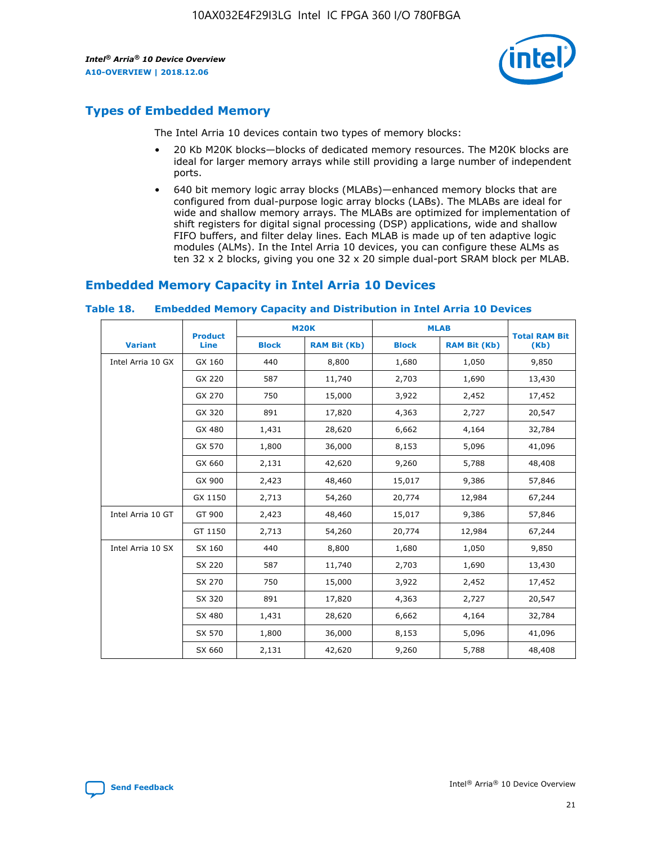

# **Types of Embedded Memory**

The Intel Arria 10 devices contain two types of memory blocks:

- 20 Kb M20K blocks—blocks of dedicated memory resources. The M20K blocks are ideal for larger memory arrays while still providing a large number of independent ports.
- 640 bit memory logic array blocks (MLABs)—enhanced memory blocks that are configured from dual-purpose logic array blocks (LABs). The MLABs are ideal for wide and shallow memory arrays. The MLABs are optimized for implementation of shift registers for digital signal processing (DSP) applications, wide and shallow FIFO buffers, and filter delay lines. Each MLAB is made up of ten adaptive logic modules (ALMs). In the Intel Arria 10 devices, you can configure these ALMs as ten 32 x 2 blocks, giving you one 32 x 20 simple dual-port SRAM block per MLAB.

# **Embedded Memory Capacity in Intel Arria 10 Devices**

|                   | <b>Product</b> |              | <b>M20K</b>         | <b>MLAB</b>  |                     | <b>Total RAM Bit</b> |
|-------------------|----------------|--------------|---------------------|--------------|---------------------|----------------------|
| <b>Variant</b>    | <b>Line</b>    | <b>Block</b> | <b>RAM Bit (Kb)</b> | <b>Block</b> | <b>RAM Bit (Kb)</b> | (Kb)                 |
| Intel Arria 10 GX | GX 160         | 440          | 8,800               | 1,680        | 1,050               | 9,850                |
|                   | GX 220         | 587          | 11,740              | 2,703        | 1,690               | 13,430               |
|                   | GX 270         | 750          | 15,000              | 3,922        | 2,452               | 17,452               |
|                   | GX 320         | 891          | 17,820              | 4,363        | 2,727               | 20,547               |
|                   | GX 480         | 1,431        | 28,620              | 6,662        | 4,164               | 32,784               |
|                   | GX 570         | 1,800        | 36,000              | 8,153        | 5,096               | 41,096               |
|                   | GX 660         | 2,131        | 42,620              | 9,260        | 5,788               | 48,408               |
|                   | GX 900         | 2,423        | 48,460              | 15,017       | 9,386               | 57,846               |
|                   | GX 1150        | 2,713        | 54,260              | 20,774       | 12,984              | 67,244               |
| Intel Arria 10 GT | GT 900         | 2,423        | 48,460              | 15,017       | 9,386               | 57,846               |
|                   | GT 1150        | 2,713        | 54,260              | 20,774       | 12,984              | 67,244               |
| Intel Arria 10 SX | SX 160         | 440          | 8,800               | 1,680        | 1,050               | 9,850                |
|                   | SX 220         | 587          | 11,740              | 2,703        | 1,690               | 13,430               |
|                   | SX 270         | 750          | 15,000              | 3,922        | 2,452               | 17,452               |
|                   | SX 320         | 891          | 17,820              | 4,363        | 2,727               | 20,547               |
|                   | SX 480         | 1,431        | 28,620              | 6,662        | 4,164               | 32,784               |
|                   | SX 570         | 1,800        | 36,000              | 8,153        | 5,096               | 41,096               |
|                   | SX 660         | 2,131        | 42,620              | 9,260        | 5,788               | 48,408               |

#### **Table 18. Embedded Memory Capacity and Distribution in Intel Arria 10 Devices**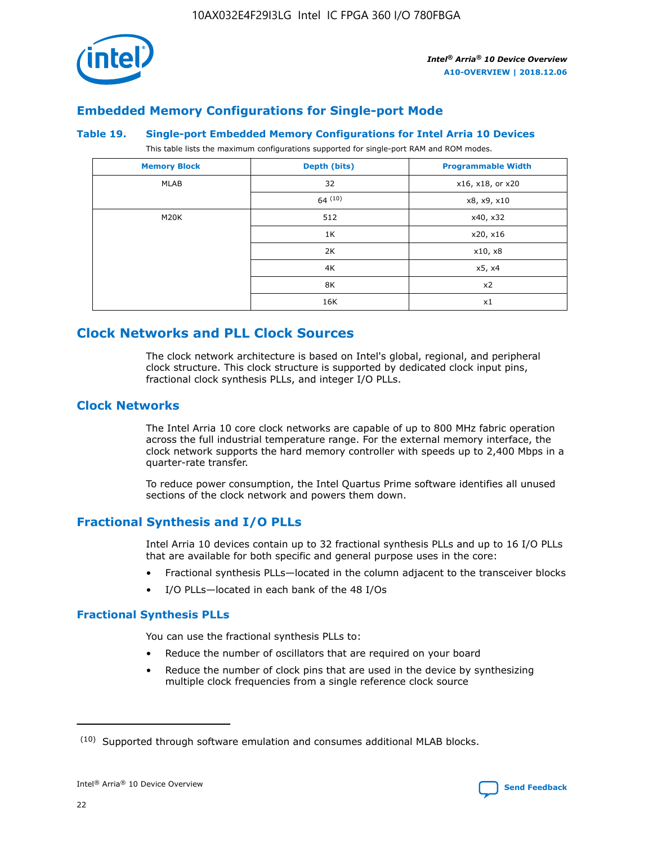

# **Embedded Memory Configurations for Single-port Mode**

#### **Table 19. Single-port Embedded Memory Configurations for Intel Arria 10 Devices**

This table lists the maximum configurations supported for single-port RAM and ROM modes.

| <b>Memory Block</b> | Depth (bits) | <b>Programmable Width</b> |
|---------------------|--------------|---------------------------|
| MLAB                | 32           | x16, x18, or x20          |
|                     | 64(10)       | x8, x9, x10               |
| M20K                | 512          | x40, x32                  |
|                     | 1K           | x20, x16                  |
|                     | 2K           | x10, x8                   |
|                     | 4K           | x5, x4                    |
|                     | 8K           | x2                        |
|                     | 16K          | x1                        |

# **Clock Networks and PLL Clock Sources**

The clock network architecture is based on Intel's global, regional, and peripheral clock structure. This clock structure is supported by dedicated clock input pins, fractional clock synthesis PLLs, and integer I/O PLLs.

# **Clock Networks**

The Intel Arria 10 core clock networks are capable of up to 800 MHz fabric operation across the full industrial temperature range. For the external memory interface, the clock network supports the hard memory controller with speeds up to 2,400 Mbps in a quarter-rate transfer.

To reduce power consumption, the Intel Quartus Prime software identifies all unused sections of the clock network and powers them down.

# **Fractional Synthesis and I/O PLLs**

Intel Arria 10 devices contain up to 32 fractional synthesis PLLs and up to 16 I/O PLLs that are available for both specific and general purpose uses in the core:

- Fractional synthesis PLLs—located in the column adjacent to the transceiver blocks
- I/O PLLs—located in each bank of the 48 I/Os

# **Fractional Synthesis PLLs**

You can use the fractional synthesis PLLs to:

- Reduce the number of oscillators that are required on your board
- Reduce the number of clock pins that are used in the device by synthesizing multiple clock frequencies from a single reference clock source

<sup>(10)</sup> Supported through software emulation and consumes additional MLAB blocks.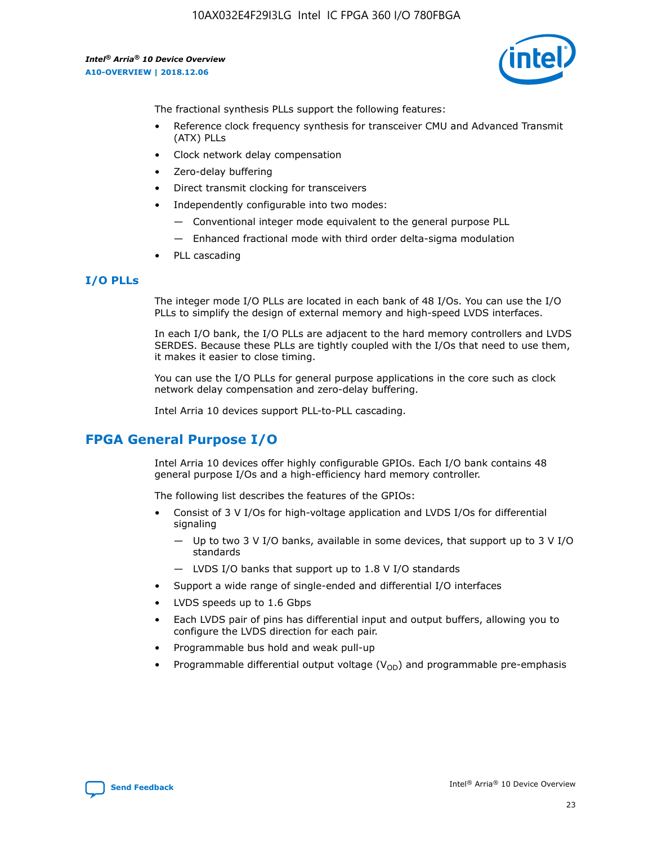

The fractional synthesis PLLs support the following features:

- Reference clock frequency synthesis for transceiver CMU and Advanced Transmit (ATX) PLLs
- Clock network delay compensation
- Zero-delay buffering
- Direct transmit clocking for transceivers
- Independently configurable into two modes:
	- Conventional integer mode equivalent to the general purpose PLL
	- Enhanced fractional mode with third order delta-sigma modulation
- PLL cascading

## **I/O PLLs**

The integer mode I/O PLLs are located in each bank of 48 I/Os. You can use the I/O PLLs to simplify the design of external memory and high-speed LVDS interfaces.

In each I/O bank, the I/O PLLs are adjacent to the hard memory controllers and LVDS SERDES. Because these PLLs are tightly coupled with the I/Os that need to use them, it makes it easier to close timing.

You can use the I/O PLLs for general purpose applications in the core such as clock network delay compensation and zero-delay buffering.

Intel Arria 10 devices support PLL-to-PLL cascading.

# **FPGA General Purpose I/O**

Intel Arria 10 devices offer highly configurable GPIOs. Each I/O bank contains 48 general purpose I/Os and a high-efficiency hard memory controller.

The following list describes the features of the GPIOs:

- Consist of 3 V I/Os for high-voltage application and LVDS I/Os for differential signaling
	- Up to two 3 V I/O banks, available in some devices, that support up to 3 V I/O standards
	- LVDS I/O banks that support up to 1.8 V I/O standards
- Support a wide range of single-ended and differential I/O interfaces
- LVDS speeds up to 1.6 Gbps
- Each LVDS pair of pins has differential input and output buffers, allowing you to configure the LVDS direction for each pair.
- Programmable bus hold and weak pull-up
- Programmable differential output voltage  $(V_{OD})$  and programmable pre-emphasis

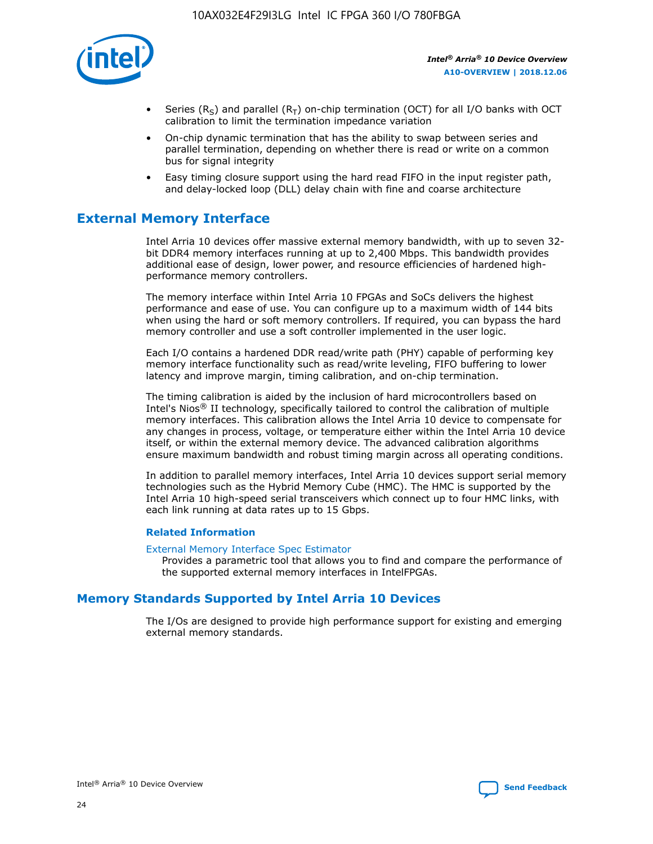

- Series (R<sub>S</sub>) and parallel (R<sub>T</sub>) on-chip termination (OCT) for all I/O banks with OCT calibration to limit the termination impedance variation
- On-chip dynamic termination that has the ability to swap between series and parallel termination, depending on whether there is read or write on a common bus for signal integrity
- Easy timing closure support using the hard read FIFO in the input register path, and delay-locked loop (DLL) delay chain with fine and coarse architecture

# **External Memory Interface**

Intel Arria 10 devices offer massive external memory bandwidth, with up to seven 32 bit DDR4 memory interfaces running at up to 2,400 Mbps. This bandwidth provides additional ease of design, lower power, and resource efficiencies of hardened highperformance memory controllers.

The memory interface within Intel Arria 10 FPGAs and SoCs delivers the highest performance and ease of use. You can configure up to a maximum width of 144 bits when using the hard or soft memory controllers. If required, you can bypass the hard memory controller and use a soft controller implemented in the user logic.

Each I/O contains a hardened DDR read/write path (PHY) capable of performing key memory interface functionality such as read/write leveling, FIFO buffering to lower latency and improve margin, timing calibration, and on-chip termination.

The timing calibration is aided by the inclusion of hard microcontrollers based on Intel's Nios® II technology, specifically tailored to control the calibration of multiple memory interfaces. This calibration allows the Intel Arria 10 device to compensate for any changes in process, voltage, or temperature either within the Intel Arria 10 device itself, or within the external memory device. The advanced calibration algorithms ensure maximum bandwidth and robust timing margin across all operating conditions.

In addition to parallel memory interfaces, Intel Arria 10 devices support serial memory technologies such as the Hybrid Memory Cube (HMC). The HMC is supported by the Intel Arria 10 high-speed serial transceivers which connect up to four HMC links, with each link running at data rates up to 15 Gbps.

## **Related Information**

#### [External Memory Interface Spec Estimator](http://www.altera.com/technology/memory/estimator/mem-emif-index.html)

Provides a parametric tool that allows you to find and compare the performance of the supported external memory interfaces in IntelFPGAs.

# **Memory Standards Supported by Intel Arria 10 Devices**

The I/Os are designed to provide high performance support for existing and emerging external memory standards.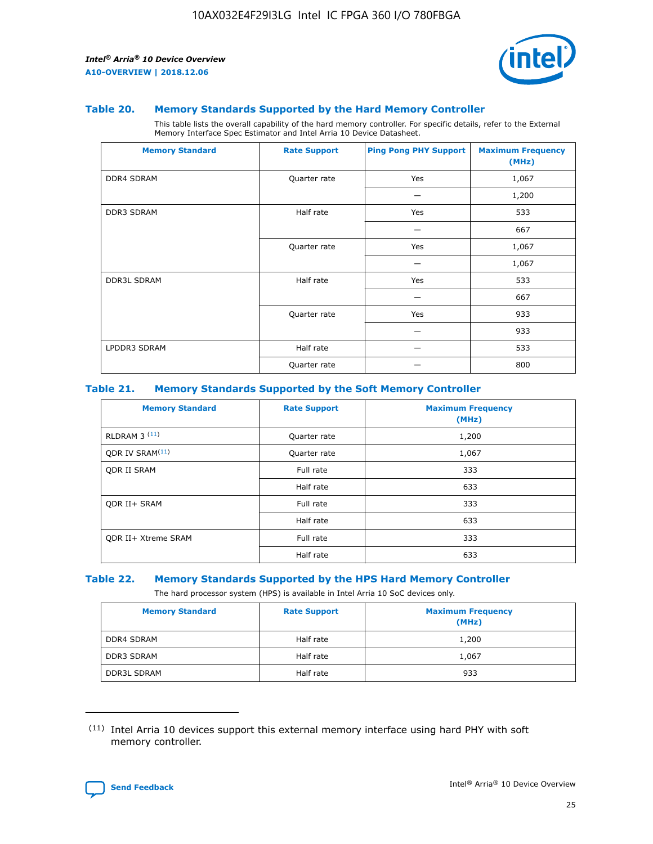

#### **Table 20. Memory Standards Supported by the Hard Memory Controller**

This table lists the overall capability of the hard memory controller. For specific details, refer to the External Memory Interface Spec Estimator and Intel Arria 10 Device Datasheet.

| <b>Memory Standard</b> | <b>Rate Support</b> | <b>Ping Pong PHY Support</b> | <b>Maximum Frequency</b><br>(MHz) |
|------------------------|---------------------|------------------------------|-----------------------------------|
| <b>DDR4 SDRAM</b>      | Quarter rate        | Yes                          | 1,067                             |
|                        |                     |                              | 1,200                             |
| <b>DDR3 SDRAM</b>      | Half rate           | Yes                          | 533                               |
|                        |                     |                              | 667                               |
|                        | Quarter rate        | Yes                          | 1,067                             |
|                        |                     |                              | 1,067                             |
| <b>DDR3L SDRAM</b>     | Half rate           | Yes                          | 533                               |
|                        |                     |                              | 667                               |
|                        | Quarter rate        | Yes                          | 933                               |
|                        |                     |                              | 933                               |
| LPDDR3 SDRAM           | Half rate           |                              | 533                               |
|                        | Quarter rate        |                              | 800                               |

#### **Table 21. Memory Standards Supported by the Soft Memory Controller**

| <b>Memory Standard</b>      | <b>Rate Support</b> | <b>Maximum Frequency</b><br>(MHz) |
|-----------------------------|---------------------|-----------------------------------|
| <b>RLDRAM 3 (11)</b>        | Quarter rate        | 1,200                             |
| ODR IV SRAM <sup>(11)</sup> | Quarter rate        | 1,067                             |
| <b>ODR II SRAM</b>          | Full rate           | 333                               |
|                             | Half rate           | 633                               |
| <b>ODR II+ SRAM</b>         | Full rate           | 333                               |
|                             | Half rate           | 633                               |
| <b>ODR II+ Xtreme SRAM</b>  | Full rate           | 333                               |
|                             | Half rate           | 633                               |

#### **Table 22. Memory Standards Supported by the HPS Hard Memory Controller**

The hard processor system (HPS) is available in Intel Arria 10 SoC devices only.

| <b>Memory Standard</b> | <b>Rate Support</b> | <b>Maximum Frequency</b><br>(MHz) |
|------------------------|---------------------|-----------------------------------|
| <b>DDR4 SDRAM</b>      | Half rate           | 1,200                             |
| <b>DDR3 SDRAM</b>      | Half rate           | 1,067                             |
| <b>DDR3L SDRAM</b>     | Half rate           | 933                               |

<sup>(11)</sup> Intel Arria 10 devices support this external memory interface using hard PHY with soft memory controller.

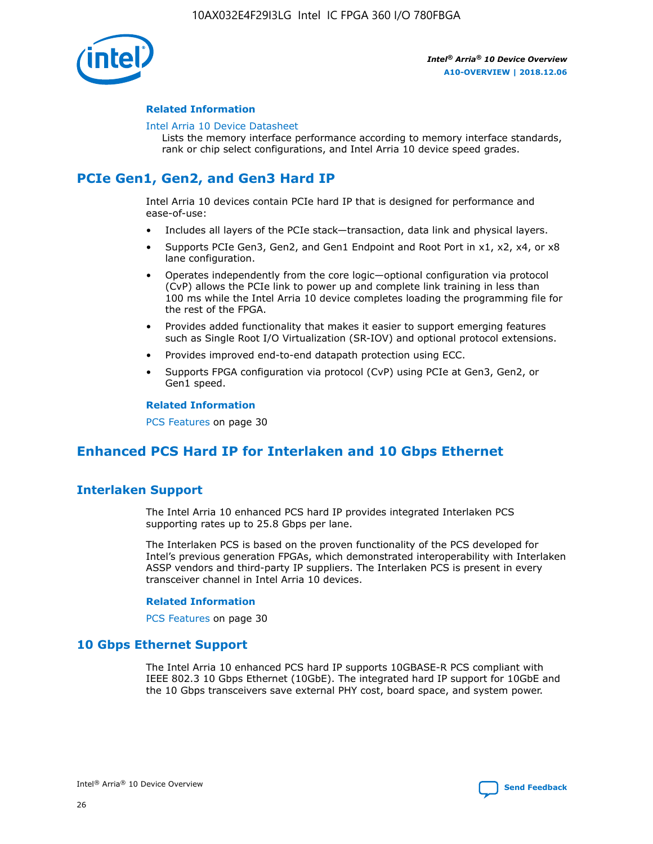

## **Related Information**

#### [Intel Arria 10 Device Datasheet](https://www.intel.com/content/www/us/en/programmable/documentation/mcn1413182292568.html#mcn1413182153340)

Lists the memory interface performance according to memory interface standards, rank or chip select configurations, and Intel Arria 10 device speed grades.

# **PCIe Gen1, Gen2, and Gen3 Hard IP**

Intel Arria 10 devices contain PCIe hard IP that is designed for performance and ease-of-use:

- Includes all layers of the PCIe stack—transaction, data link and physical layers.
- Supports PCIe Gen3, Gen2, and Gen1 Endpoint and Root Port in x1, x2, x4, or x8 lane configuration.
- Operates independently from the core logic—optional configuration via protocol (CvP) allows the PCIe link to power up and complete link training in less than 100 ms while the Intel Arria 10 device completes loading the programming file for the rest of the FPGA.
- Provides added functionality that makes it easier to support emerging features such as Single Root I/O Virtualization (SR-IOV) and optional protocol extensions.
- Provides improved end-to-end datapath protection using ECC.
- Supports FPGA configuration via protocol (CvP) using PCIe at Gen3, Gen2, or Gen1 speed.

#### **Related Information**

PCS Features on page 30

# **Enhanced PCS Hard IP for Interlaken and 10 Gbps Ethernet**

# **Interlaken Support**

The Intel Arria 10 enhanced PCS hard IP provides integrated Interlaken PCS supporting rates up to 25.8 Gbps per lane.

The Interlaken PCS is based on the proven functionality of the PCS developed for Intel's previous generation FPGAs, which demonstrated interoperability with Interlaken ASSP vendors and third-party IP suppliers. The Interlaken PCS is present in every transceiver channel in Intel Arria 10 devices.

## **Related Information**

PCS Features on page 30

# **10 Gbps Ethernet Support**

The Intel Arria 10 enhanced PCS hard IP supports 10GBASE-R PCS compliant with IEEE 802.3 10 Gbps Ethernet (10GbE). The integrated hard IP support for 10GbE and the 10 Gbps transceivers save external PHY cost, board space, and system power.

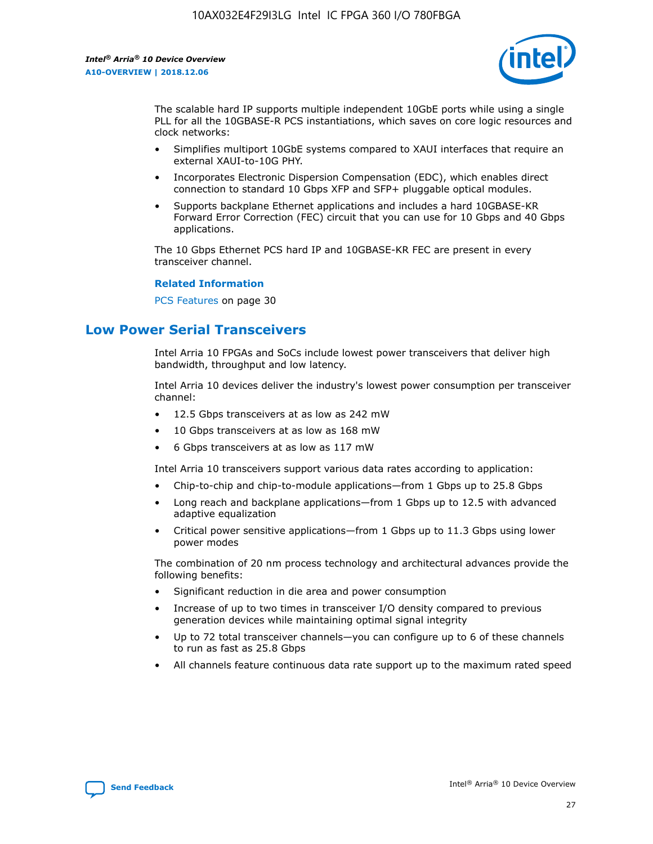

The scalable hard IP supports multiple independent 10GbE ports while using a single PLL for all the 10GBASE-R PCS instantiations, which saves on core logic resources and clock networks:

- Simplifies multiport 10GbE systems compared to XAUI interfaces that require an external XAUI-to-10G PHY.
- Incorporates Electronic Dispersion Compensation (EDC), which enables direct connection to standard 10 Gbps XFP and SFP+ pluggable optical modules.
- Supports backplane Ethernet applications and includes a hard 10GBASE-KR Forward Error Correction (FEC) circuit that you can use for 10 Gbps and 40 Gbps applications.

The 10 Gbps Ethernet PCS hard IP and 10GBASE-KR FEC are present in every transceiver channel.

#### **Related Information**

PCS Features on page 30

# **Low Power Serial Transceivers**

Intel Arria 10 FPGAs and SoCs include lowest power transceivers that deliver high bandwidth, throughput and low latency.

Intel Arria 10 devices deliver the industry's lowest power consumption per transceiver channel:

- 12.5 Gbps transceivers at as low as 242 mW
- 10 Gbps transceivers at as low as 168 mW
- 6 Gbps transceivers at as low as 117 mW

Intel Arria 10 transceivers support various data rates according to application:

- Chip-to-chip and chip-to-module applications—from 1 Gbps up to 25.8 Gbps
- Long reach and backplane applications—from 1 Gbps up to 12.5 with advanced adaptive equalization
- Critical power sensitive applications—from 1 Gbps up to 11.3 Gbps using lower power modes

The combination of 20 nm process technology and architectural advances provide the following benefits:

- Significant reduction in die area and power consumption
- Increase of up to two times in transceiver I/O density compared to previous generation devices while maintaining optimal signal integrity
- Up to 72 total transceiver channels—you can configure up to 6 of these channels to run as fast as 25.8 Gbps
- All channels feature continuous data rate support up to the maximum rated speed

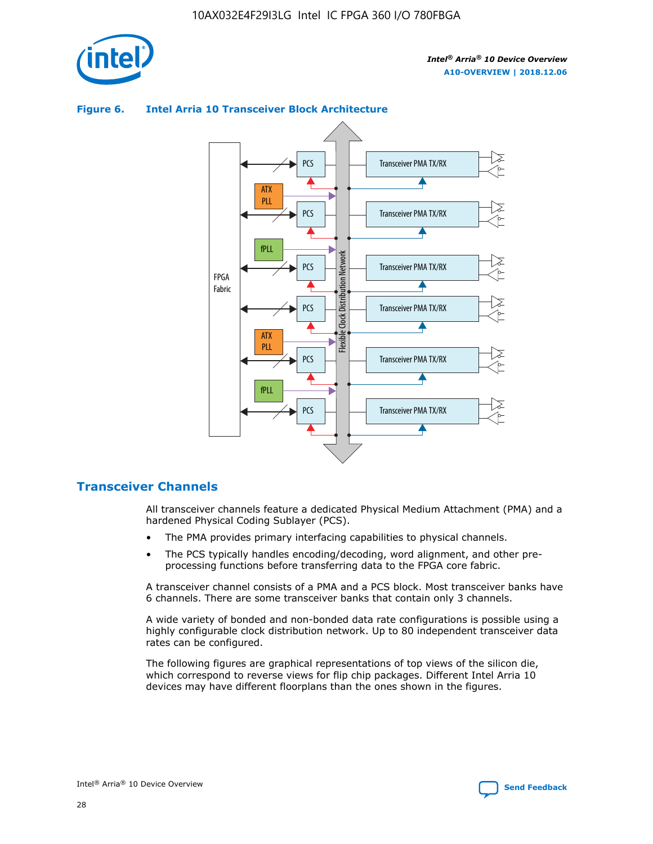

## Transceiver PMA TX/RX PCS ATX PLL Transceiver PMA TX/RX PCS fPLL Network Flexible Clock Distribution Network PCS Transceiver PMA TX/RX FPGA **Clock Distribution** Fabric PCS Transceiver PMA TX/RX ATX Flexible PLL PCS Transceiver PMA TX/RX ▲ fPLL Transceiver PMA TX/RX PCS 4

# **Figure 6. Intel Arria 10 Transceiver Block Architecture**

# **Transceiver Channels**

All transceiver channels feature a dedicated Physical Medium Attachment (PMA) and a hardened Physical Coding Sublayer (PCS).

- The PMA provides primary interfacing capabilities to physical channels.
- The PCS typically handles encoding/decoding, word alignment, and other preprocessing functions before transferring data to the FPGA core fabric.

A transceiver channel consists of a PMA and a PCS block. Most transceiver banks have 6 channels. There are some transceiver banks that contain only 3 channels.

A wide variety of bonded and non-bonded data rate configurations is possible using a highly configurable clock distribution network. Up to 80 independent transceiver data rates can be configured.

The following figures are graphical representations of top views of the silicon die, which correspond to reverse views for flip chip packages. Different Intel Arria 10 devices may have different floorplans than the ones shown in the figures.

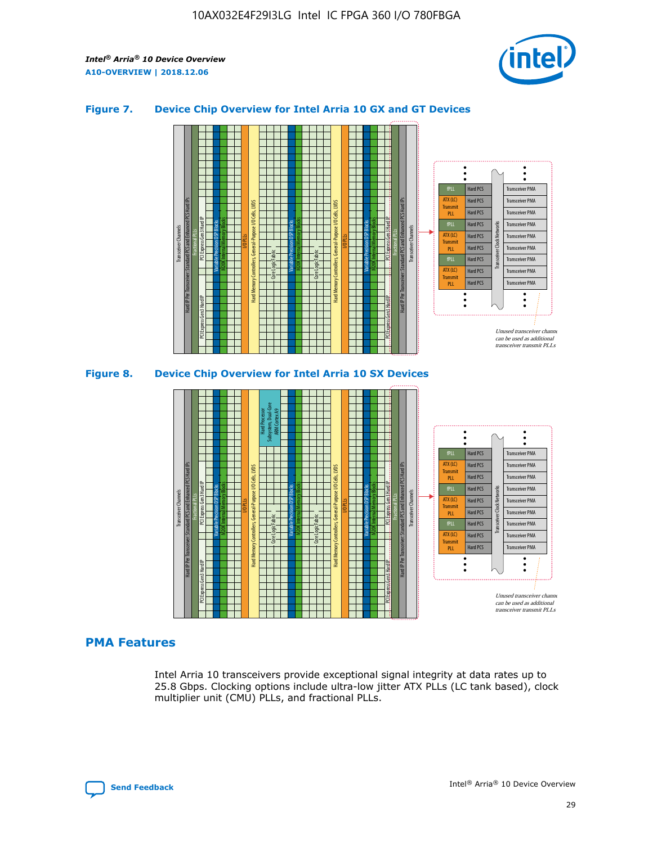

## **Figure 7. Device Chip Overview for Intel Arria 10 GX and GT Devices**



## **PMA Features**

Intel Arria 10 transceivers provide exceptional signal integrity at data rates up to 25.8 Gbps. Clocking options include ultra-low jitter ATX PLLs (LC tank based), clock multiplier unit (CMU) PLLs, and fractional PLLs.



Hard PCS Hard PCS Hard PCS Hard PCS

Transmi PLL fPLL ATX (LC) **Transmit** PLL

Transceiver PMA Transceiver PMA

Transceiver PMA Transceiver PMA

Unused transceiver chann can be used as additional transceiver transmit PLLs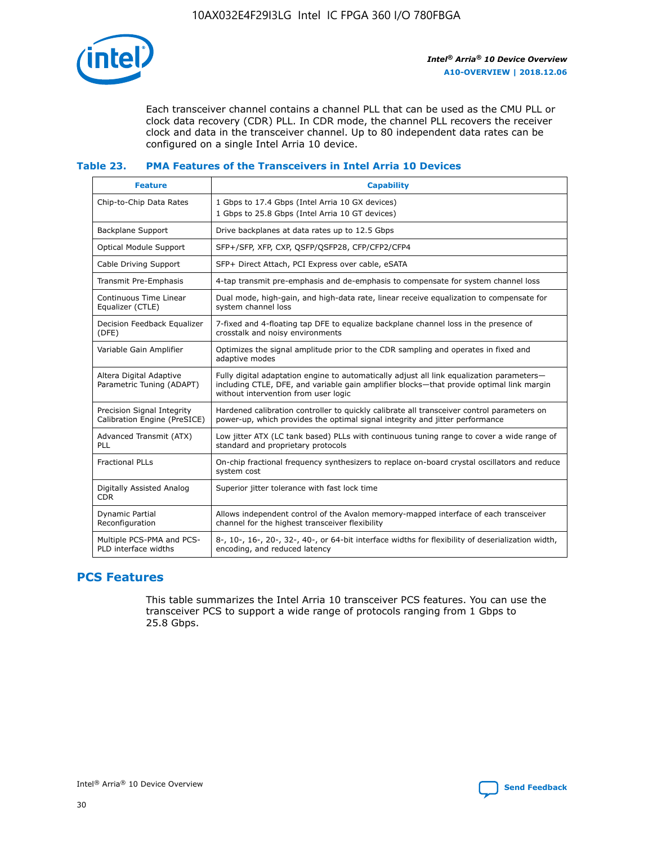

Each transceiver channel contains a channel PLL that can be used as the CMU PLL or clock data recovery (CDR) PLL. In CDR mode, the channel PLL recovers the receiver clock and data in the transceiver channel. Up to 80 independent data rates can be configured on a single Intel Arria 10 device.

## **Table 23. PMA Features of the Transceivers in Intel Arria 10 Devices**

| <b>Feature</b>                                             | <b>Capability</b>                                                                                                                                                                                                             |
|------------------------------------------------------------|-------------------------------------------------------------------------------------------------------------------------------------------------------------------------------------------------------------------------------|
| Chip-to-Chip Data Rates                                    | 1 Gbps to 17.4 Gbps (Intel Arria 10 GX devices)<br>1 Gbps to 25.8 Gbps (Intel Arria 10 GT devices)                                                                                                                            |
| <b>Backplane Support</b>                                   | Drive backplanes at data rates up to 12.5 Gbps                                                                                                                                                                                |
| <b>Optical Module Support</b>                              | SFP+/SFP, XFP, CXP, QSFP/QSFP28, CFP/CFP2/CFP4                                                                                                                                                                                |
| Cable Driving Support                                      | SFP+ Direct Attach, PCI Express over cable, eSATA                                                                                                                                                                             |
| Transmit Pre-Emphasis                                      | 4-tap transmit pre-emphasis and de-emphasis to compensate for system channel loss                                                                                                                                             |
| Continuous Time Linear<br>Equalizer (CTLE)                 | Dual mode, high-gain, and high-data rate, linear receive equalization to compensate for<br>system channel loss                                                                                                                |
| Decision Feedback Equalizer<br>(DFE)                       | 7-fixed and 4-floating tap DFE to equalize backplane channel loss in the presence of<br>crosstalk and noisy environments                                                                                                      |
| Variable Gain Amplifier                                    | Optimizes the signal amplitude prior to the CDR sampling and operates in fixed and<br>adaptive modes                                                                                                                          |
| Altera Digital Adaptive<br>Parametric Tuning (ADAPT)       | Fully digital adaptation engine to automatically adjust all link equalization parameters-<br>including CTLE, DFE, and variable gain amplifier blocks—that provide optimal link margin<br>without intervention from user logic |
| Precision Signal Integrity<br>Calibration Engine (PreSICE) | Hardened calibration controller to quickly calibrate all transceiver control parameters on<br>power-up, which provides the optimal signal integrity and jitter performance                                                    |
| Advanced Transmit (ATX)<br><b>PLL</b>                      | Low jitter ATX (LC tank based) PLLs with continuous tuning range to cover a wide range of<br>standard and proprietary protocols                                                                                               |
| <b>Fractional PLLs</b>                                     | On-chip fractional frequency synthesizers to replace on-board crystal oscillators and reduce<br>system cost                                                                                                                   |
| Digitally Assisted Analog<br><b>CDR</b>                    | Superior jitter tolerance with fast lock time                                                                                                                                                                                 |
| Dynamic Partial<br>Reconfiguration                         | Allows independent control of the Avalon memory-mapped interface of each transceiver<br>channel for the highest transceiver flexibility                                                                                       |
| Multiple PCS-PMA and PCS-<br>PLD interface widths          | 8-, 10-, 16-, 20-, 32-, 40-, or 64-bit interface widths for flexibility of deserialization width,<br>encoding, and reduced latency                                                                                            |

# **PCS Features**

This table summarizes the Intel Arria 10 transceiver PCS features. You can use the transceiver PCS to support a wide range of protocols ranging from 1 Gbps to 25.8 Gbps.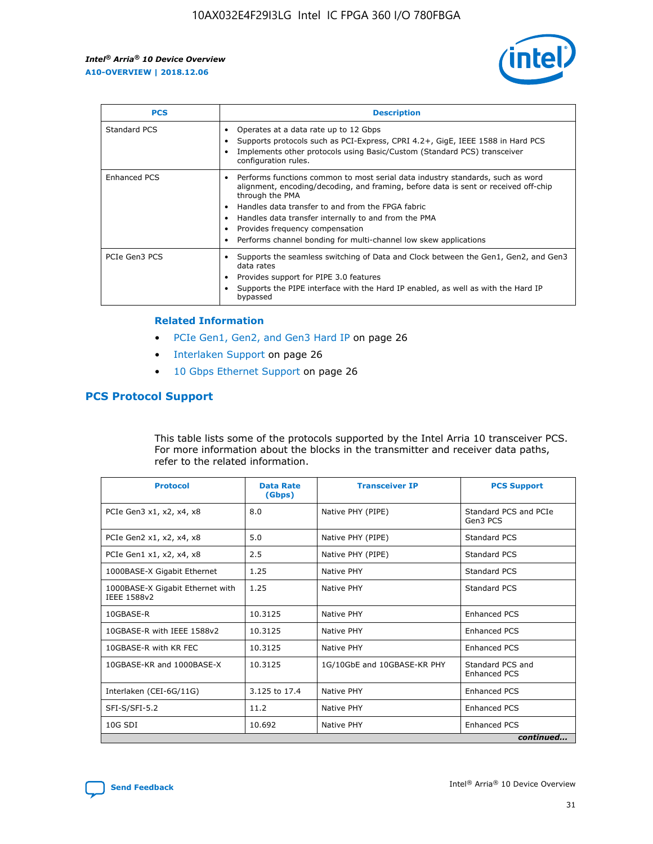

| <b>PCS</b>          | <b>Description</b>                                                                                                                                                                                                                                                                                                                                                                                             |
|---------------------|----------------------------------------------------------------------------------------------------------------------------------------------------------------------------------------------------------------------------------------------------------------------------------------------------------------------------------------------------------------------------------------------------------------|
| Standard PCS        | Operates at a data rate up to 12 Gbps<br>Supports protocols such as PCI-Express, CPRI 4.2+, GigE, IEEE 1588 in Hard PCS<br>Implements other protocols using Basic/Custom (Standard PCS) transceiver<br>configuration rules.                                                                                                                                                                                    |
| <b>Enhanced PCS</b> | Performs functions common to most serial data industry standards, such as word<br>alignment, encoding/decoding, and framing, before data is sent or received off-chip<br>through the PMA<br>• Handles data transfer to and from the FPGA fabric<br>Handles data transfer internally to and from the PMA<br>Provides frequency compensation<br>Performs channel bonding for multi-channel low skew applications |
| PCIe Gen3 PCS       | Supports the seamless switching of Data and Clock between the Gen1, Gen2, and Gen3<br>data rates<br>Provides support for PIPE 3.0 features<br>Supports the PIPE interface with the Hard IP enabled, as well as with the Hard IP<br>bypassed                                                                                                                                                                    |

#### **Related Information**

- PCIe Gen1, Gen2, and Gen3 Hard IP on page 26
- Interlaken Support on page 26
- 10 Gbps Ethernet Support on page 26

# **PCS Protocol Support**

This table lists some of the protocols supported by the Intel Arria 10 transceiver PCS. For more information about the blocks in the transmitter and receiver data paths, refer to the related information.

| <b>Protocol</b>                                 | <b>Data Rate</b><br>(Gbps) | <b>Transceiver IP</b>       | <b>PCS Support</b>                      |
|-------------------------------------------------|----------------------------|-----------------------------|-----------------------------------------|
| PCIe Gen3 x1, x2, x4, x8                        | 8.0                        | Native PHY (PIPE)           | Standard PCS and PCIe<br>Gen3 PCS       |
| PCIe Gen2 x1, x2, x4, x8                        | 5.0                        | Native PHY (PIPE)           | <b>Standard PCS</b>                     |
| PCIe Gen1 x1, x2, x4, x8                        | 2.5                        | Native PHY (PIPE)           | Standard PCS                            |
| 1000BASE-X Gigabit Ethernet                     | 1.25                       | Native PHY                  | <b>Standard PCS</b>                     |
| 1000BASE-X Gigabit Ethernet with<br>IEEE 1588v2 | 1.25                       | Native PHY                  | Standard PCS                            |
| 10GBASE-R                                       | 10.3125                    | Native PHY                  | <b>Enhanced PCS</b>                     |
| 10GBASE-R with IEEE 1588v2                      | 10.3125                    | Native PHY                  | <b>Enhanced PCS</b>                     |
| 10GBASE-R with KR FEC                           | 10.3125                    | Native PHY                  | <b>Enhanced PCS</b>                     |
| 10GBASE-KR and 1000BASE-X                       | 10.3125                    | 1G/10GbE and 10GBASE-KR PHY | Standard PCS and<br><b>Enhanced PCS</b> |
| Interlaken (CEI-6G/11G)                         | 3.125 to 17.4              | Native PHY                  | <b>Enhanced PCS</b>                     |
| SFI-S/SFI-5.2                                   | 11.2                       | Native PHY                  | <b>Enhanced PCS</b>                     |
| $10G$ SDI                                       | 10.692                     | Native PHY                  | <b>Enhanced PCS</b>                     |
|                                                 |                            |                             | continued                               |

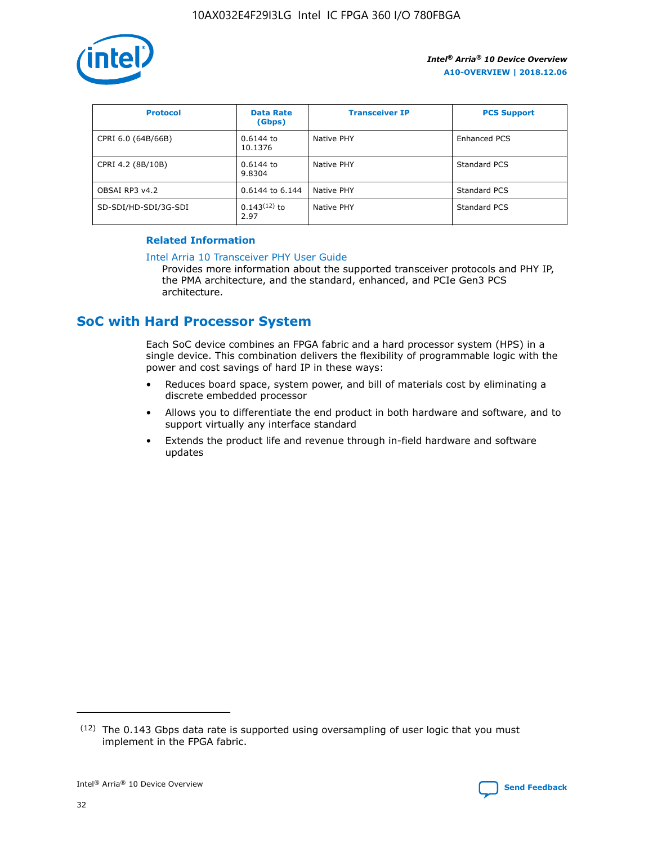

| <b>Protocol</b>      | <b>Data Rate</b><br>(Gbps) | <b>Transceiver IP</b> | <b>PCS Support</b> |
|----------------------|----------------------------|-----------------------|--------------------|
| CPRI 6.0 (64B/66B)   | 0.6144 to<br>10.1376       | Native PHY            | Enhanced PCS       |
| CPRI 4.2 (8B/10B)    | 0.6144 to<br>9.8304        | Native PHY            | Standard PCS       |
| OBSAI RP3 v4.2       | 0.6144 to 6.144            | Native PHY            | Standard PCS       |
| SD-SDI/HD-SDI/3G-SDI | $0.143(12)$ to<br>2.97     | Native PHY            | Standard PCS       |

## **Related Information**

#### [Intel Arria 10 Transceiver PHY User Guide](https://www.intel.com/content/www/us/en/programmable/documentation/nik1398707230472.html#nik1398707091164)

Provides more information about the supported transceiver protocols and PHY IP, the PMA architecture, and the standard, enhanced, and PCIe Gen3 PCS architecture.

# **SoC with Hard Processor System**

Each SoC device combines an FPGA fabric and a hard processor system (HPS) in a single device. This combination delivers the flexibility of programmable logic with the power and cost savings of hard IP in these ways:

- Reduces board space, system power, and bill of materials cost by eliminating a discrete embedded processor
- Allows you to differentiate the end product in both hardware and software, and to support virtually any interface standard
- Extends the product life and revenue through in-field hardware and software updates

<sup>(12)</sup> The 0.143 Gbps data rate is supported using oversampling of user logic that you must implement in the FPGA fabric.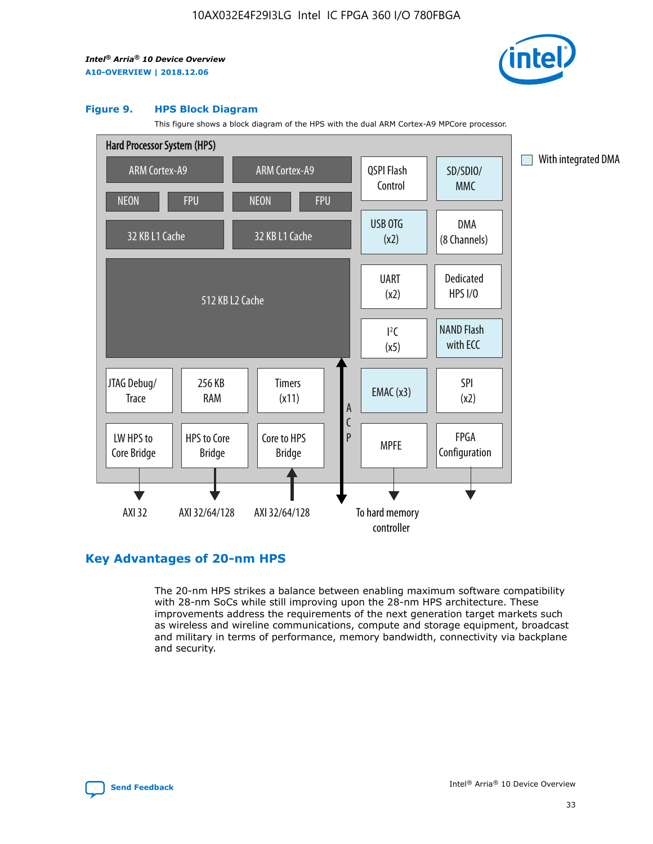

#### **Figure 9. HPS Block Diagram**

This figure shows a block diagram of the HPS with the dual ARM Cortex-A9 MPCore processor.



# **Key Advantages of 20-nm HPS**

The 20-nm HPS strikes a balance between enabling maximum software compatibility with 28-nm SoCs while still improving upon the 28-nm HPS architecture. These improvements address the requirements of the next generation target markets such as wireless and wireline communications, compute and storage equipment, broadcast and military in terms of performance, memory bandwidth, connectivity via backplane and security.

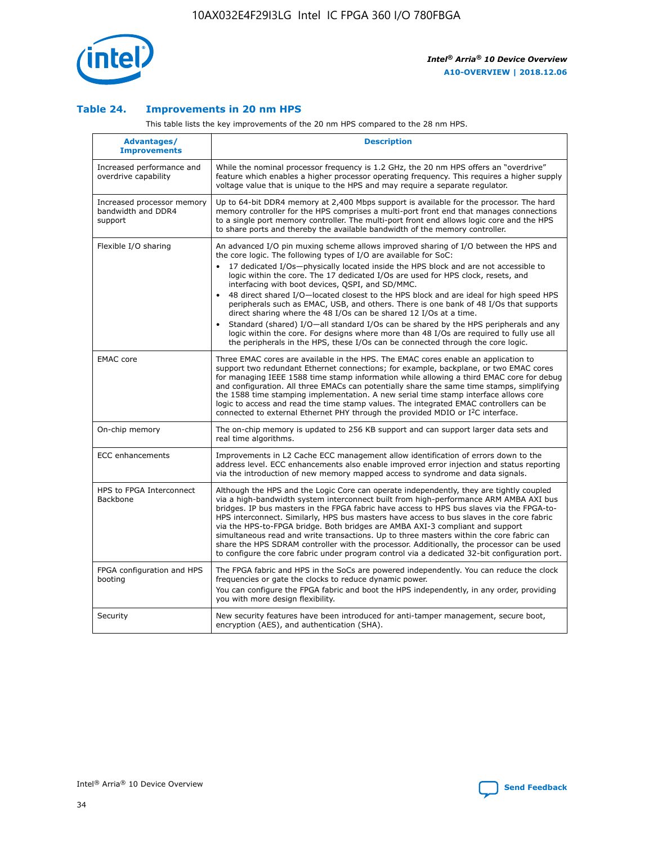

## **Table 24. Improvements in 20 nm HPS**

This table lists the key improvements of the 20 nm HPS compared to the 28 nm HPS.

| Advantages/<br><b>Improvements</b>                          | <b>Description</b>                                                                                                                                                                                                                                                                                                                                                                                                                                                                                                                                                                                                                                                                                                                                     |
|-------------------------------------------------------------|--------------------------------------------------------------------------------------------------------------------------------------------------------------------------------------------------------------------------------------------------------------------------------------------------------------------------------------------------------------------------------------------------------------------------------------------------------------------------------------------------------------------------------------------------------------------------------------------------------------------------------------------------------------------------------------------------------------------------------------------------------|
| Increased performance and<br>overdrive capability           | While the nominal processor frequency is 1.2 GHz, the 20 nm HPS offers an "overdrive"<br>feature which enables a higher processor operating frequency. This requires a higher supply<br>voltage value that is unique to the HPS and may require a separate regulator.                                                                                                                                                                                                                                                                                                                                                                                                                                                                                  |
| Increased processor memory<br>bandwidth and DDR4<br>support | Up to 64-bit DDR4 memory at 2,400 Mbps support is available for the processor. The hard<br>memory controller for the HPS comprises a multi-port front end that manages connections<br>to a single port memory controller. The multi-port front end allows logic core and the HPS<br>to share ports and thereby the available bandwidth of the memory controller.                                                                                                                                                                                                                                                                                                                                                                                       |
| Flexible I/O sharing                                        | An advanced I/O pin muxing scheme allows improved sharing of I/O between the HPS and<br>the core logic. The following types of I/O are available for SoC:<br>17 dedicated I/Os-physically located inside the HPS block and are not accessible to<br>logic within the core. The 17 dedicated I/Os are used for HPS clock, resets, and<br>interfacing with boot devices, QSPI, and SD/MMC.<br>48 direct shared I/O-located closest to the HPS block and are ideal for high speed HPS<br>$\bullet$<br>peripherals such as EMAC, USB, and others. There is one bank of 48 I/Os that supports<br>direct sharing where the 48 I/Os can be shared 12 I/Os at a time.                                                                                          |
|                                                             | Standard (shared) I/O-all standard I/Os can be shared by the HPS peripherals and any<br>logic within the core. For designs where more than 48 I/Os are required to fully use all<br>the peripherals in the HPS, these I/Os can be connected through the core logic.                                                                                                                                                                                                                                                                                                                                                                                                                                                                                    |
| <b>EMAC</b> core                                            | Three EMAC cores are available in the HPS. The EMAC cores enable an application to<br>support two redundant Ethernet connections; for example, backplane, or two EMAC cores<br>for managing IEEE 1588 time stamp information while allowing a third EMAC core for debug<br>and configuration. All three EMACs can potentially share the same time stamps, simplifying<br>the 1588 time stamping implementation. A new serial time stamp interface allows core<br>logic to access and read the time stamp values. The integrated EMAC controllers can be<br>connected to external Ethernet PHY through the provided MDIO or I <sup>2</sup> C interface.                                                                                                 |
| On-chip memory                                              | The on-chip memory is updated to 256 KB support and can support larger data sets and<br>real time algorithms.                                                                                                                                                                                                                                                                                                                                                                                                                                                                                                                                                                                                                                          |
| <b>ECC</b> enhancements                                     | Improvements in L2 Cache ECC management allow identification of errors down to the<br>address level. ECC enhancements also enable improved error injection and status reporting<br>via the introduction of new memory mapped access to syndrome and data signals.                                                                                                                                                                                                                                                                                                                                                                                                                                                                                      |
| HPS to FPGA Interconnect<br><b>Backbone</b>                 | Although the HPS and the Logic Core can operate independently, they are tightly coupled<br>via a high-bandwidth system interconnect built from high-performance ARM AMBA AXI bus<br>bridges. IP bus masters in the FPGA fabric have access to HPS bus slaves via the FPGA-to-<br>HPS interconnect. Similarly, HPS bus masters have access to bus slaves in the core fabric<br>via the HPS-to-FPGA bridge. Both bridges are AMBA AXI-3 compliant and support<br>simultaneous read and write transactions. Up to three masters within the core fabric can<br>share the HPS SDRAM controller with the processor. Additionally, the processor can be used<br>to configure the core fabric under program control via a dedicated 32-bit configuration port. |
| FPGA configuration and HPS<br>booting                       | The FPGA fabric and HPS in the SoCs are powered independently. You can reduce the clock<br>frequencies or gate the clocks to reduce dynamic power.<br>You can configure the FPGA fabric and boot the HPS independently, in any order, providing<br>you with more design flexibility.                                                                                                                                                                                                                                                                                                                                                                                                                                                                   |
| Security                                                    | New security features have been introduced for anti-tamper management, secure boot,<br>encryption (AES), and authentication (SHA).                                                                                                                                                                                                                                                                                                                                                                                                                                                                                                                                                                                                                     |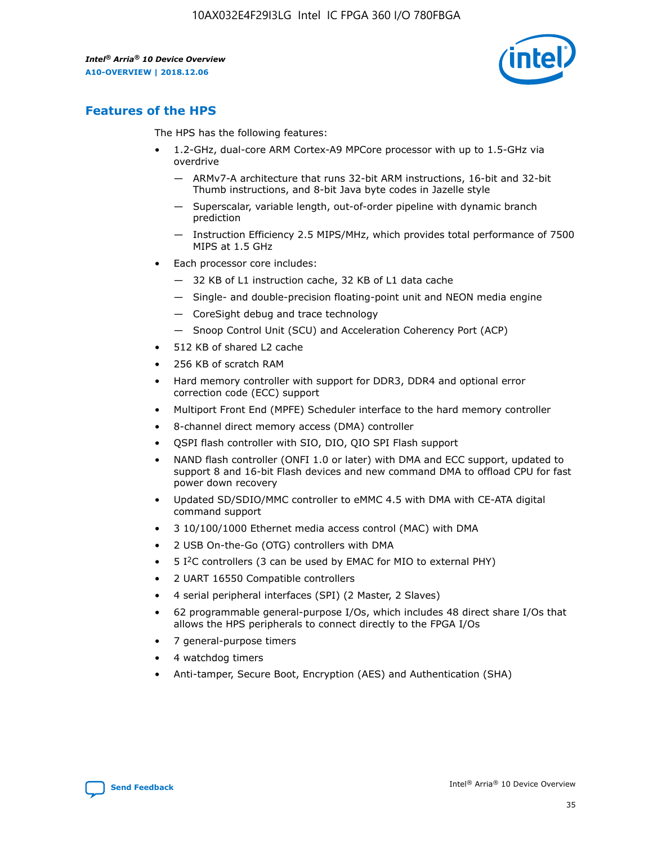

# **Features of the HPS**

The HPS has the following features:

- 1.2-GHz, dual-core ARM Cortex-A9 MPCore processor with up to 1.5-GHz via overdrive
	- ARMv7-A architecture that runs 32-bit ARM instructions, 16-bit and 32-bit Thumb instructions, and 8-bit Java byte codes in Jazelle style
	- Superscalar, variable length, out-of-order pipeline with dynamic branch prediction
	- Instruction Efficiency 2.5 MIPS/MHz, which provides total performance of 7500 MIPS at 1.5 GHz
- Each processor core includes:
	- 32 KB of L1 instruction cache, 32 KB of L1 data cache
	- Single- and double-precision floating-point unit and NEON media engine
	- CoreSight debug and trace technology
	- Snoop Control Unit (SCU) and Acceleration Coherency Port (ACP)
- 512 KB of shared L2 cache
- 256 KB of scratch RAM
- Hard memory controller with support for DDR3, DDR4 and optional error correction code (ECC) support
- Multiport Front End (MPFE) Scheduler interface to the hard memory controller
- 8-channel direct memory access (DMA) controller
- QSPI flash controller with SIO, DIO, QIO SPI Flash support
- NAND flash controller (ONFI 1.0 or later) with DMA and ECC support, updated to support 8 and 16-bit Flash devices and new command DMA to offload CPU for fast power down recovery
- Updated SD/SDIO/MMC controller to eMMC 4.5 with DMA with CE-ATA digital command support
- 3 10/100/1000 Ethernet media access control (MAC) with DMA
- 2 USB On-the-Go (OTG) controllers with DMA
- $\bullet$  5 I<sup>2</sup>C controllers (3 can be used by EMAC for MIO to external PHY)
- 2 UART 16550 Compatible controllers
- 4 serial peripheral interfaces (SPI) (2 Master, 2 Slaves)
- 62 programmable general-purpose I/Os, which includes 48 direct share I/Os that allows the HPS peripherals to connect directly to the FPGA I/Os
- 7 general-purpose timers
- 4 watchdog timers
- Anti-tamper, Secure Boot, Encryption (AES) and Authentication (SHA)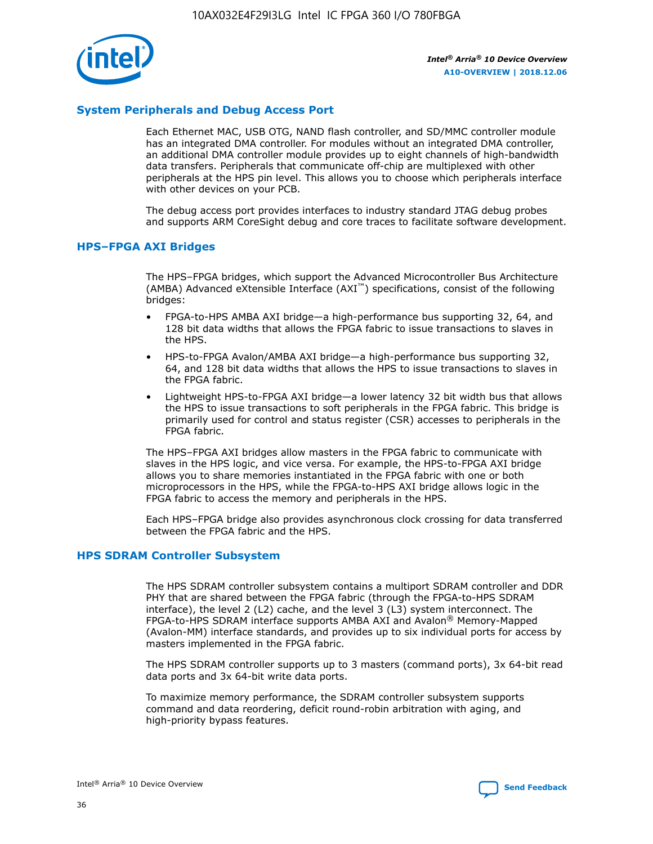

# **System Peripherals and Debug Access Port**

Each Ethernet MAC, USB OTG, NAND flash controller, and SD/MMC controller module has an integrated DMA controller. For modules without an integrated DMA controller, an additional DMA controller module provides up to eight channels of high-bandwidth data transfers. Peripherals that communicate off-chip are multiplexed with other peripherals at the HPS pin level. This allows you to choose which peripherals interface with other devices on your PCB.

The debug access port provides interfaces to industry standard JTAG debug probes and supports ARM CoreSight debug and core traces to facilitate software development.

#### **HPS–FPGA AXI Bridges**

The HPS–FPGA bridges, which support the Advanced Microcontroller Bus Architecture (AMBA) Advanced eXtensible Interface (AXI™) specifications, consist of the following bridges:

- FPGA-to-HPS AMBA AXI bridge—a high-performance bus supporting 32, 64, and 128 bit data widths that allows the FPGA fabric to issue transactions to slaves in the HPS.
- HPS-to-FPGA Avalon/AMBA AXI bridge—a high-performance bus supporting 32, 64, and 128 bit data widths that allows the HPS to issue transactions to slaves in the FPGA fabric.
- Lightweight HPS-to-FPGA AXI bridge—a lower latency 32 bit width bus that allows the HPS to issue transactions to soft peripherals in the FPGA fabric. This bridge is primarily used for control and status register (CSR) accesses to peripherals in the FPGA fabric.

The HPS–FPGA AXI bridges allow masters in the FPGA fabric to communicate with slaves in the HPS logic, and vice versa. For example, the HPS-to-FPGA AXI bridge allows you to share memories instantiated in the FPGA fabric with one or both microprocessors in the HPS, while the FPGA-to-HPS AXI bridge allows logic in the FPGA fabric to access the memory and peripherals in the HPS.

Each HPS–FPGA bridge also provides asynchronous clock crossing for data transferred between the FPGA fabric and the HPS.

#### **HPS SDRAM Controller Subsystem**

The HPS SDRAM controller subsystem contains a multiport SDRAM controller and DDR PHY that are shared between the FPGA fabric (through the FPGA-to-HPS SDRAM interface), the level 2 (L2) cache, and the level 3 (L3) system interconnect. The FPGA-to-HPS SDRAM interface supports AMBA AXI and Avalon® Memory-Mapped (Avalon-MM) interface standards, and provides up to six individual ports for access by masters implemented in the FPGA fabric.

The HPS SDRAM controller supports up to 3 masters (command ports), 3x 64-bit read data ports and 3x 64-bit write data ports.

To maximize memory performance, the SDRAM controller subsystem supports command and data reordering, deficit round-robin arbitration with aging, and high-priority bypass features.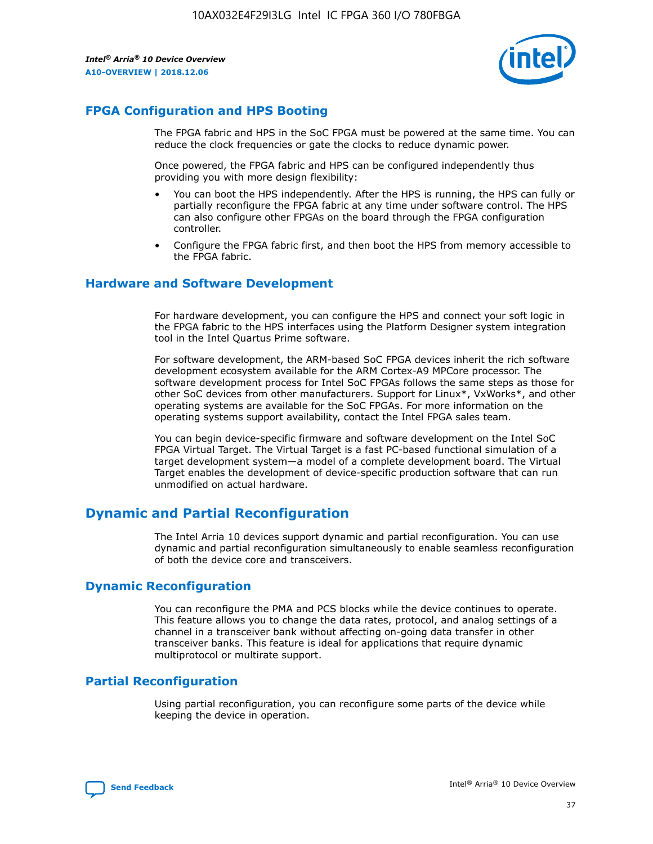

# **FPGA Configuration and HPS Booting**

The FPGA fabric and HPS in the SoC FPGA must be powered at the same time. You can reduce the clock frequencies or gate the clocks to reduce dynamic power.

Once powered, the FPGA fabric and HPS can be configured independently thus providing you with more design flexibility:

- You can boot the HPS independently. After the HPS is running, the HPS can fully or partially reconfigure the FPGA fabric at any time under software control. The HPS can also configure other FPGAs on the board through the FPGA configuration controller.
- Configure the FPGA fabric first, and then boot the HPS from memory accessible to the FPGA fabric.

# **Hardware and Software Development**

For hardware development, you can configure the HPS and connect your soft logic in the FPGA fabric to the HPS interfaces using the Platform Designer system integration tool in the Intel Quartus Prime software.

For software development, the ARM-based SoC FPGA devices inherit the rich software development ecosystem available for the ARM Cortex-A9 MPCore processor. The software development process for Intel SoC FPGAs follows the same steps as those for other SoC devices from other manufacturers. Support for Linux\*, VxWorks\*, and other operating systems are available for the SoC FPGAs. For more information on the operating systems support availability, contact the Intel FPGA sales team.

You can begin device-specific firmware and software development on the Intel SoC FPGA Virtual Target. The Virtual Target is a fast PC-based functional simulation of a target development system—a model of a complete development board. The Virtual Target enables the development of device-specific production software that can run unmodified on actual hardware.

# **Dynamic and Partial Reconfiguration**

The Intel Arria 10 devices support dynamic and partial reconfiguration. You can use dynamic and partial reconfiguration simultaneously to enable seamless reconfiguration of both the device core and transceivers.

# **Dynamic Reconfiguration**

You can reconfigure the PMA and PCS blocks while the device continues to operate. This feature allows you to change the data rates, protocol, and analog settings of a channel in a transceiver bank without affecting on-going data transfer in other transceiver banks. This feature is ideal for applications that require dynamic multiprotocol or multirate support.

# **Partial Reconfiguration**

Using partial reconfiguration, you can reconfigure some parts of the device while keeping the device in operation.

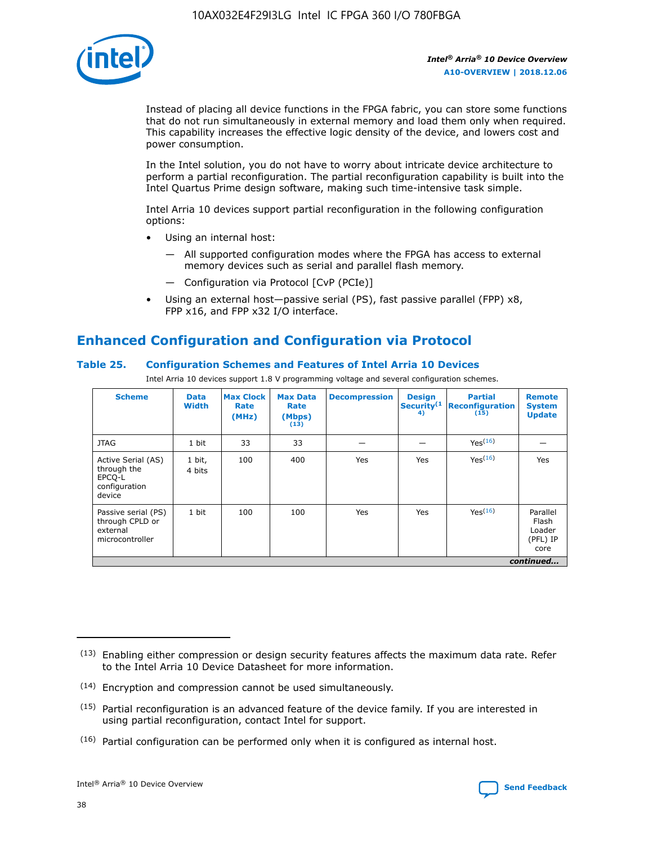

Instead of placing all device functions in the FPGA fabric, you can store some functions that do not run simultaneously in external memory and load them only when required. This capability increases the effective logic density of the device, and lowers cost and power consumption.

In the Intel solution, you do not have to worry about intricate device architecture to perform a partial reconfiguration. The partial reconfiguration capability is built into the Intel Quartus Prime design software, making such time-intensive task simple.

Intel Arria 10 devices support partial reconfiguration in the following configuration options:

- Using an internal host:
	- All supported configuration modes where the FPGA has access to external memory devices such as serial and parallel flash memory.
	- Configuration via Protocol [CvP (PCIe)]
- Using an external host—passive serial (PS), fast passive parallel (FPP) x8, FPP x16, and FPP x32 I/O interface.

# **Enhanced Configuration and Configuration via Protocol**

## **Table 25. Configuration Schemes and Features of Intel Arria 10 Devices**

Intel Arria 10 devices support 1.8 V programming voltage and several configuration schemes.

| <b>Scheme</b>                                                          | <b>Data</b><br><b>Width</b> | <b>Max Clock</b><br>Rate<br>(MHz) | <b>Max Data</b><br>Rate<br>(Mbps)<br>(13) | <b>Decompression</b> | <b>Design</b><br>Security <sup>(1</sup><br>4) | <b>Partial</b><br>Reconfiguration<br>(15) | <b>Remote</b><br><b>System</b><br><b>Update</b> |
|------------------------------------------------------------------------|-----------------------------|-----------------------------------|-------------------------------------------|----------------------|-----------------------------------------------|-------------------------------------------|-------------------------------------------------|
| <b>JTAG</b>                                                            | 1 bit                       | 33                                | 33                                        |                      |                                               | Yes <sup>(16)</sup>                       |                                                 |
| Active Serial (AS)<br>through the<br>EPCO-L<br>configuration<br>device | 1 bit,<br>4 bits            | 100                               | 400                                       | Yes                  | Yes                                           | $Y_{PS}(16)$                              | Yes                                             |
| Passive serial (PS)<br>through CPLD or<br>external<br>microcontroller  | 1 bit                       | 100                               | 100                                       | Yes                  | Yes                                           | Yes(16)                                   | Parallel<br>Flash<br>Loader<br>(PFL) IP<br>core |
|                                                                        |                             |                                   |                                           |                      |                                               |                                           | continued                                       |

<sup>(13)</sup> Enabling either compression or design security features affects the maximum data rate. Refer to the Intel Arria 10 Device Datasheet for more information.

<sup>(14)</sup> Encryption and compression cannot be used simultaneously.

 $<sup>(15)</sup>$  Partial reconfiguration is an advanced feature of the device family. If you are interested in</sup> using partial reconfiguration, contact Intel for support.

 $(16)$  Partial configuration can be performed only when it is configured as internal host.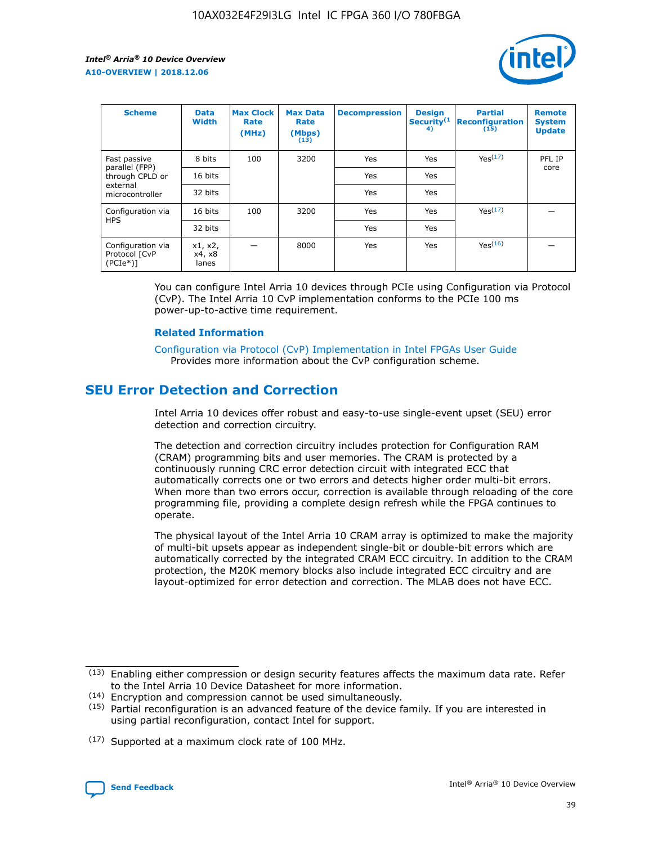

| <b>Scheme</b>                                    | <b>Data</b><br><b>Width</b> | <b>Max Clock</b><br>Rate<br>(MHz) | <b>Max Data</b><br>Rate<br>(Mbps)<br>(13) | <b>Decompression</b> | <b>Design</b><br>Security <sup>(1</sup><br>4) | <b>Partial</b><br><b>Reconfiguration</b><br>(15) | <b>Remote</b><br><b>System</b><br><b>Update</b> |
|--------------------------------------------------|-----------------------------|-----------------------------------|-------------------------------------------|----------------------|-----------------------------------------------|--------------------------------------------------|-------------------------------------------------|
| Fast passive                                     | 8 bits                      | 100                               | 3200                                      | Yes                  | Yes                                           | Yes(17)                                          | PFL IP                                          |
| parallel (FPP)<br>through CPLD or                | 16 bits                     |                                   |                                           | Yes                  | Yes                                           |                                                  | core                                            |
| external<br>microcontroller                      | 32 bits                     |                                   |                                           | Yes                  | Yes                                           |                                                  |                                                 |
| Configuration via                                | 16 bits                     | 100                               | 3200                                      | Yes                  | Yes                                           | Yes <sup>(17)</sup>                              |                                                 |
| <b>HPS</b>                                       | 32 bits                     |                                   |                                           | Yes                  | Yes                                           |                                                  |                                                 |
| Configuration via<br>Protocol [CvP<br>$(PCIe^*)$ | x1, x2,<br>x4, x8<br>lanes  |                                   | 8000                                      | Yes                  | Yes                                           | Yes(16)                                          |                                                 |

You can configure Intel Arria 10 devices through PCIe using Configuration via Protocol (CvP). The Intel Arria 10 CvP implementation conforms to the PCIe 100 ms power-up-to-active time requirement.

## **Related Information**

[Configuration via Protocol \(CvP\) Implementation in Intel FPGAs User Guide](https://www.intel.com/content/www/us/en/programmable/documentation/dsu1441819344145.html#dsu1442269728522) Provides more information about the CvP configuration scheme.

# **SEU Error Detection and Correction**

Intel Arria 10 devices offer robust and easy-to-use single-event upset (SEU) error detection and correction circuitry.

The detection and correction circuitry includes protection for Configuration RAM (CRAM) programming bits and user memories. The CRAM is protected by a continuously running CRC error detection circuit with integrated ECC that automatically corrects one or two errors and detects higher order multi-bit errors. When more than two errors occur, correction is available through reloading of the core programming file, providing a complete design refresh while the FPGA continues to operate.

The physical layout of the Intel Arria 10 CRAM array is optimized to make the majority of multi-bit upsets appear as independent single-bit or double-bit errors which are automatically corrected by the integrated CRAM ECC circuitry. In addition to the CRAM protection, the M20K memory blocks also include integrated ECC circuitry and are layout-optimized for error detection and correction. The MLAB does not have ECC.

(14) Encryption and compression cannot be used simultaneously.

<sup>(17)</sup> Supported at a maximum clock rate of 100 MHz.



 $(13)$  Enabling either compression or design security features affects the maximum data rate. Refer to the Intel Arria 10 Device Datasheet for more information.

 $(15)$  Partial reconfiguration is an advanced feature of the device family. If you are interested in using partial reconfiguration, contact Intel for support.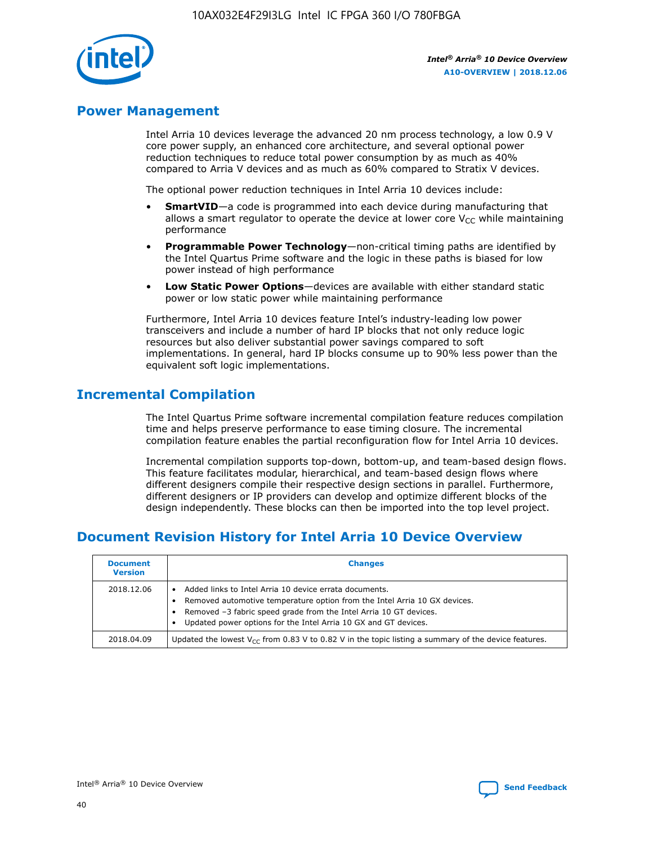

# **Power Management**

Intel Arria 10 devices leverage the advanced 20 nm process technology, a low 0.9 V core power supply, an enhanced core architecture, and several optional power reduction techniques to reduce total power consumption by as much as 40% compared to Arria V devices and as much as 60% compared to Stratix V devices.

The optional power reduction techniques in Intel Arria 10 devices include:

- **SmartVID**—a code is programmed into each device during manufacturing that allows a smart regulator to operate the device at lower core  $V_{CC}$  while maintaining performance
- **Programmable Power Technology**—non-critical timing paths are identified by the Intel Quartus Prime software and the logic in these paths is biased for low power instead of high performance
- **Low Static Power Options**—devices are available with either standard static power or low static power while maintaining performance

Furthermore, Intel Arria 10 devices feature Intel's industry-leading low power transceivers and include a number of hard IP blocks that not only reduce logic resources but also deliver substantial power savings compared to soft implementations. In general, hard IP blocks consume up to 90% less power than the equivalent soft logic implementations.

# **Incremental Compilation**

The Intel Quartus Prime software incremental compilation feature reduces compilation time and helps preserve performance to ease timing closure. The incremental compilation feature enables the partial reconfiguration flow for Intel Arria 10 devices.

Incremental compilation supports top-down, bottom-up, and team-based design flows. This feature facilitates modular, hierarchical, and team-based design flows where different designers compile their respective design sections in parallel. Furthermore, different designers or IP providers can develop and optimize different blocks of the design independently. These blocks can then be imported into the top level project.

# **Document Revision History for Intel Arria 10 Device Overview**

| <b>Document</b><br><b>Version</b> | <b>Changes</b>                                                                                                                                                                                                                                                              |
|-----------------------------------|-----------------------------------------------------------------------------------------------------------------------------------------------------------------------------------------------------------------------------------------------------------------------------|
| 2018.12.06                        | Added links to Intel Arria 10 device errata documents.<br>Removed automotive temperature option from the Intel Arria 10 GX devices.<br>Removed -3 fabric speed grade from the Intel Arria 10 GT devices.<br>Updated power options for the Intel Arria 10 GX and GT devices. |
| 2018.04.09                        | Updated the lowest $V_{CC}$ from 0.83 V to 0.82 V in the topic listing a summary of the device features.                                                                                                                                                                    |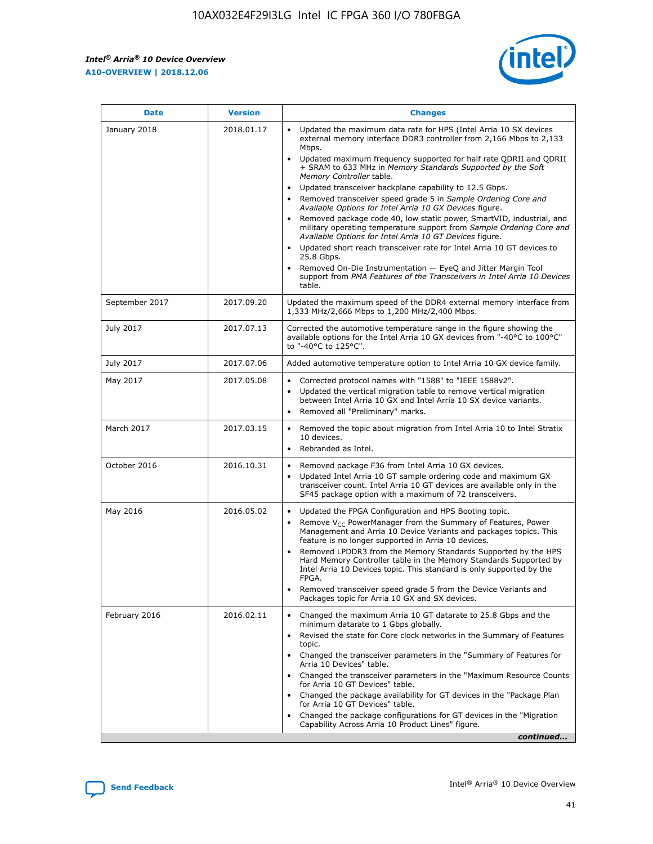$\overline{\phantom{a}}$ 

 $\mathsf{r}$ 



| January 2018<br>Updated the maximum data rate for HPS (Intel Arria 10 SX devices<br>2018.01.17<br>external memory interface DDR3 controller from 2,166 Mbps to 2,133<br>Mbps.<br>$\bullet$<br>+ SRAM to 633 MHz in Memory Standards Supported by the Soft<br>Memory Controller table.<br>Updated transceiver backplane capability to 12.5 Gbps.<br>$\bullet$<br>Removed transceiver speed grade 5 in Sample Ordering Core and<br>Available Options for Intel Arria 10 GX Devices figure.<br>Available Options for Intel Arria 10 GT Devices figure.<br>Updated short reach transceiver rate for Intel Arria 10 GT devices to<br>$\bullet$<br>25.8 Gbps.<br>Removed On-Die Instrumentation - EyeQ and Jitter Margin Tool<br>table.<br>2017.09.20<br>September 2017<br>1,333 MHz/2,666 Mbps to 1,200 MHz/2,400 Mbps.<br>July 2017<br>2017.07.13<br>Corrected the automotive temperature range in the figure showing the<br>available options for the Intel Arria 10 GX devices from "-40°C to 100°C"<br>to "-40°C to 125°C".<br>July 2017<br>2017.07.06<br>Added automotive temperature option to Intel Arria 10 GX device family.<br>2017.05.08<br>Corrected protocol names with "1588" to "IEEE 1588v2".<br>May 2017<br>$\bullet$<br>Updated the vertical migration table to remove vertical migration<br>$\bullet$<br>between Intel Arria 10 GX and Intel Arria 10 SX device variants.<br>Removed all "Preliminary" marks.<br>2017.03.15<br>March 2017<br>Removed the topic about migration from Intel Arria 10 to Intel Stratix<br>10 devices.<br>Rebranded as Intel.<br>$\bullet$<br>October 2016<br>2016.10.31<br>Removed package F36 from Intel Arria 10 GX devices.<br>$\bullet$<br>Updated Intel Arria 10 GT sample ordering code and maximum GX<br>$\bullet$<br>transceiver count. Intel Arria 10 GT devices are available only in the<br>SF45 package option with a maximum of 72 transceivers.<br>May 2016<br>2016.05.02<br>Updated the FPGA Configuration and HPS Booting topic.<br>Remove $V_{CC}$ PowerManager from the Summary of Features, Power<br>Management and Arria 10 Device Variants and packages topics. This<br>feature is no longer supported in Arria 10 devices.<br>Removed LPDDR3 from the Memory Standards Supported by the HPS<br>Hard Memory Controller table in the Memory Standards Supported by<br>Intel Arria 10 Devices topic. This standard is only supported by the<br>FPGA.<br>Removed transceiver speed grade 5 from the Device Variants and<br>Packages topic for Arria 10 GX and SX devices.<br>Changed the maximum Arria 10 GT datarate to 25.8 Gbps and the<br>February 2016<br>2016.02.11<br>minimum datarate to 1 Gbps globally.<br>Revised the state for Core clock networks in the Summary of Features<br>$\bullet$<br>topic.<br>• Changed the transceiver parameters in the "Summary of Features for<br>Arria 10 Devices" table.<br>for Arria 10 GT Devices" table.<br>• Changed the package availability for GT devices in the "Package Plan<br>for Arria 10 GT Devices" table.<br>Changed the package configurations for GT devices in the "Migration"<br>Capability Across Arria 10 Product Lines" figure. | <b>Date</b> | <b>Version</b> | <b>Changes</b>                                                                                                                                                                                                                                                                               |
|----------------------------------------------------------------------------------------------------------------------------------------------------------------------------------------------------------------------------------------------------------------------------------------------------------------------------------------------------------------------------------------------------------------------------------------------------------------------------------------------------------------------------------------------------------------------------------------------------------------------------------------------------------------------------------------------------------------------------------------------------------------------------------------------------------------------------------------------------------------------------------------------------------------------------------------------------------------------------------------------------------------------------------------------------------------------------------------------------------------------------------------------------------------------------------------------------------------------------------------------------------------------------------------------------------------------------------------------------------------------------------------------------------------------------------------------------------------------------------------------------------------------------------------------------------------------------------------------------------------------------------------------------------------------------------------------------------------------------------------------------------------------------------------------------------------------------------------------------------------------------------------------------------------------------------------------------------------------------------------------------------------------------------------------------------------------------------------------------------------------------------------------------------------------------------------------------------------------------------------------------------------------------------------------------------------------------------------------------------------------------------------------------------------------------------------------------------------------------------------------------------------------------------------------------------------------------------------------------------------------------------------------------------------------------------------------------------------------------------------------------------------------------------------------------------------------------------------------------------------------------------------------------------------------------------------------------------------------------------------------------------------------------------------------------------------------------------------------------------------------------------------------------------------|-------------|----------------|----------------------------------------------------------------------------------------------------------------------------------------------------------------------------------------------------------------------------------------------------------------------------------------------|
|                                                                                                                                                                                                                                                                                                                                                                                                                                                                                                                                                                                                                                                                                                                                                                                                                                                                                                                                                                                                                                                                                                                                                                                                                                                                                                                                                                                                                                                                                                                                                                                                                                                                                                                                                                                                                                                                                                                                                                                                                                                                                                                                                                                                                                                                                                                                                                                                                                                                                                                                                                                                                                                                                                                                                                                                                                                                                                                                                                                                                                                                                                                                                                |             |                | Updated maximum frequency supported for half rate QDRII and QDRII<br>Removed package code 40, low static power, SmartVID, industrial, and<br>military operating temperature support from Sample Ordering Core and<br>support from PMA Features of the Transceivers in Intel Arria 10 Devices |
|                                                                                                                                                                                                                                                                                                                                                                                                                                                                                                                                                                                                                                                                                                                                                                                                                                                                                                                                                                                                                                                                                                                                                                                                                                                                                                                                                                                                                                                                                                                                                                                                                                                                                                                                                                                                                                                                                                                                                                                                                                                                                                                                                                                                                                                                                                                                                                                                                                                                                                                                                                                                                                                                                                                                                                                                                                                                                                                                                                                                                                                                                                                                                                |             |                | Updated the maximum speed of the DDR4 external memory interface from                                                                                                                                                                                                                         |
|                                                                                                                                                                                                                                                                                                                                                                                                                                                                                                                                                                                                                                                                                                                                                                                                                                                                                                                                                                                                                                                                                                                                                                                                                                                                                                                                                                                                                                                                                                                                                                                                                                                                                                                                                                                                                                                                                                                                                                                                                                                                                                                                                                                                                                                                                                                                                                                                                                                                                                                                                                                                                                                                                                                                                                                                                                                                                                                                                                                                                                                                                                                                                                |             |                |                                                                                                                                                                                                                                                                                              |
|                                                                                                                                                                                                                                                                                                                                                                                                                                                                                                                                                                                                                                                                                                                                                                                                                                                                                                                                                                                                                                                                                                                                                                                                                                                                                                                                                                                                                                                                                                                                                                                                                                                                                                                                                                                                                                                                                                                                                                                                                                                                                                                                                                                                                                                                                                                                                                                                                                                                                                                                                                                                                                                                                                                                                                                                                                                                                                                                                                                                                                                                                                                                                                |             |                |                                                                                                                                                                                                                                                                                              |
|                                                                                                                                                                                                                                                                                                                                                                                                                                                                                                                                                                                                                                                                                                                                                                                                                                                                                                                                                                                                                                                                                                                                                                                                                                                                                                                                                                                                                                                                                                                                                                                                                                                                                                                                                                                                                                                                                                                                                                                                                                                                                                                                                                                                                                                                                                                                                                                                                                                                                                                                                                                                                                                                                                                                                                                                                                                                                                                                                                                                                                                                                                                                                                |             |                |                                                                                                                                                                                                                                                                                              |
|                                                                                                                                                                                                                                                                                                                                                                                                                                                                                                                                                                                                                                                                                                                                                                                                                                                                                                                                                                                                                                                                                                                                                                                                                                                                                                                                                                                                                                                                                                                                                                                                                                                                                                                                                                                                                                                                                                                                                                                                                                                                                                                                                                                                                                                                                                                                                                                                                                                                                                                                                                                                                                                                                                                                                                                                                                                                                                                                                                                                                                                                                                                                                                |             |                |                                                                                                                                                                                                                                                                                              |
|                                                                                                                                                                                                                                                                                                                                                                                                                                                                                                                                                                                                                                                                                                                                                                                                                                                                                                                                                                                                                                                                                                                                                                                                                                                                                                                                                                                                                                                                                                                                                                                                                                                                                                                                                                                                                                                                                                                                                                                                                                                                                                                                                                                                                                                                                                                                                                                                                                                                                                                                                                                                                                                                                                                                                                                                                                                                                                                                                                                                                                                                                                                                                                |             |                |                                                                                                                                                                                                                                                                                              |
|                                                                                                                                                                                                                                                                                                                                                                                                                                                                                                                                                                                                                                                                                                                                                                                                                                                                                                                                                                                                                                                                                                                                                                                                                                                                                                                                                                                                                                                                                                                                                                                                                                                                                                                                                                                                                                                                                                                                                                                                                                                                                                                                                                                                                                                                                                                                                                                                                                                                                                                                                                                                                                                                                                                                                                                                                                                                                                                                                                                                                                                                                                                                                                |             |                |                                                                                                                                                                                                                                                                                              |
|                                                                                                                                                                                                                                                                                                                                                                                                                                                                                                                                                                                                                                                                                                                                                                                                                                                                                                                                                                                                                                                                                                                                                                                                                                                                                                                                                                                                                                                                                                                                                                                                                                                                                                                                                                                                                                                                                                                                                                                                                                                                                                                                                                                                                                                                                                                                                                                                                                                                                                                                                                                                                                                                                                                                                                                                                                                                                                                                                                                                                                                                                                                                                                |             |                | Changed the transceiver parameters in the "Maximum Resource Counts"<br>continued                                                                                                                                                                                                             |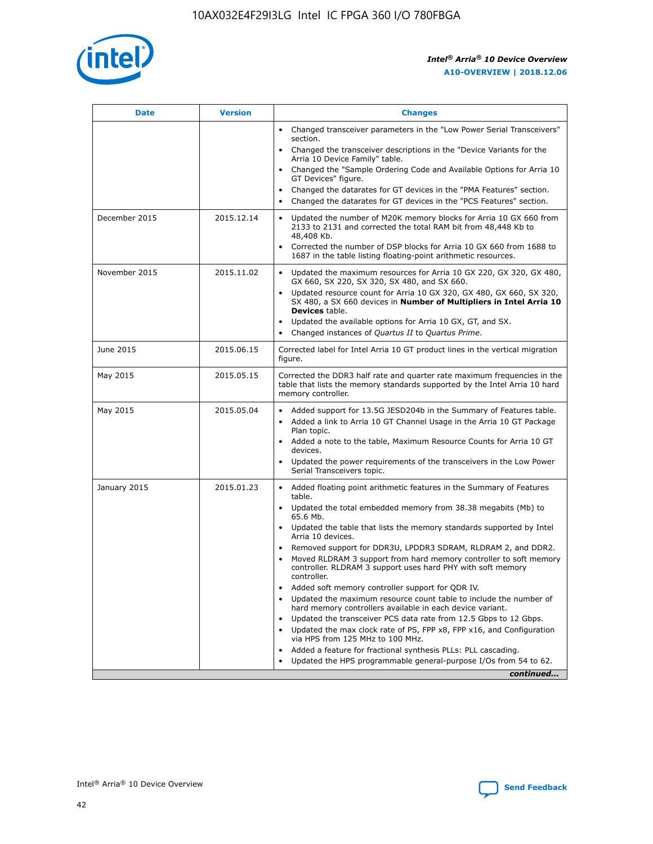

| <b>Date</b>   | <b>Version</b> | <b>Changes</b>                                                                                                                                                                   |
|---------------|----------------|----------------------------------------------------------------------------------------------------------------------------------------------------------------------------------|
|               |                | • Changed transceiver parameters in the "Low Power Serial Transceivers"<br>section.                                                                                              |
|               |                | • Changed the transceiver descriptions in the "Device Variants for the<br>Arria 10 Device Family" table.                                                                         |
|               |                | Changed the "Sample Ordering Code and Available Options for Arria 10<br>GT Devices" figure.                                                                                      |
|               |                | Changed the datarates for GT devices in the "PMA Features" section.                                                                                                              |
|               |                | Changed the datarates for GT devices in the "PCS Features" section.<br>$\bullet$                                                                                                 |
| December 2015 | 2015.12.14     | Updated the number of M20K memory blocks for Arria 10 GX 660 from<br>$\bullet$<br>2133 to 2131 and corrected the total RAM bit from 48,448 Kb to<br>48,408 Kb.                   |
|               |                | Corrected the number of DSP blocks for Arria 10 GX 660 from 1688 to<br>$\bullet$<br>1687 in the table listing floating-point arithmetic resources.                               |
| November 2015 | 2015.11.02     | Updated the maximum resources for Arria 10 GX 220, GX 320, GX 480,<br>$\bullet$<br>GX 660, SX 220, SX 320, SX 480, and SX 660.                                                   |
|               |                | Updated resource count for Arria 10 GX 320, GX 480, GX 660, SX 320,<br>$\bullet$<br>SX 480, a SX 660 devices in Number of Multipliers in Intel Arria 10<br><b>Devices</b> table. |
|               |                | Updated the available options for Arria 10 GX, GT, and SX.<br>$\bullet$                                                                                                          |
|               |                | Changed instances of Quartus II to Quartus Prime.<br>$\bullet$                                                                                                                   |
| June 2015     | 2015.06.15     | Corrected label for Intel Arria 10 GT product lines in the vertical migration<br>figure.                                                                                         |
| May 2015      | 2015.05.15     | Corrected the DDR3 half rate and quarter rate maximum frequencies in the<br>table that lists the memory standards supported by the Intel Arria 10 hard<br>memory controller.     |
| May 2015      | 2015.05.04     | • Added support for 13.5G JESD204b in the Summary of Features table.<br>• Added a link to Arria 10 GT Channel Usage in the Arria 10 GT Package<br>Plan topic.                    |
|               |                | • Added a note to the table, Maximum Resource Counts for Arria 10 GT<br>devices.                                                                                                 |
|               |                | Updated the power requirements of the transceivers in the Low Power<br>Serial Transceivers topic.                                                                                |
| January 2015  | 2015.01.23     | • Added floating point arithmetic features in the Summary of Features<br>table.                                                                                                  |
|               |                | • Updated the total embedded memory from 38.38 megabits (Mb) to<br>65.6 Mb.                                                                                                      |
|               |                | • Updated the table that lists the memory standards supported by Intel<br>Arria 10 devices.                                                                                      |
|               |                | Removed support for DDR3U, LPDDR3 SDRAM, RLDRAM 2, and DDR2.                                                                                                                     |
|               |                | Moved RLDRAM 3 support from hard memory controller to soft memory<br>controller. RLDRAM 3 support uses hard PHY with soft memory<br>controller.                                  |
|               |                | Added soft memory controller support for QDR IV.                                                                                                                                 |
|               |                | Updated the maximum resource count table to include the number of<br>hard memory controllers available in each device variant.                                                   |
|               |                | Updated the transceiver PCS data rate from 12.5 Gbps to 12 Gbps.<br>$\bullet$                                                                                                    |
|               |                | Updated the max clock rate of PS, FPP x8, FPP x16, and Configuration<br>via HPS from 125 MHz to 100 MHz.                                                                         |
|               |                | Added a feature for fractional synthesis PLLs: PLL cascading.                                                                                                                    |
|               |                | Updated the HPS programmable general-purpose I/Os from 54 to 62.                                                                                                                 |
|               |                | continued                                                                                                                                                                        |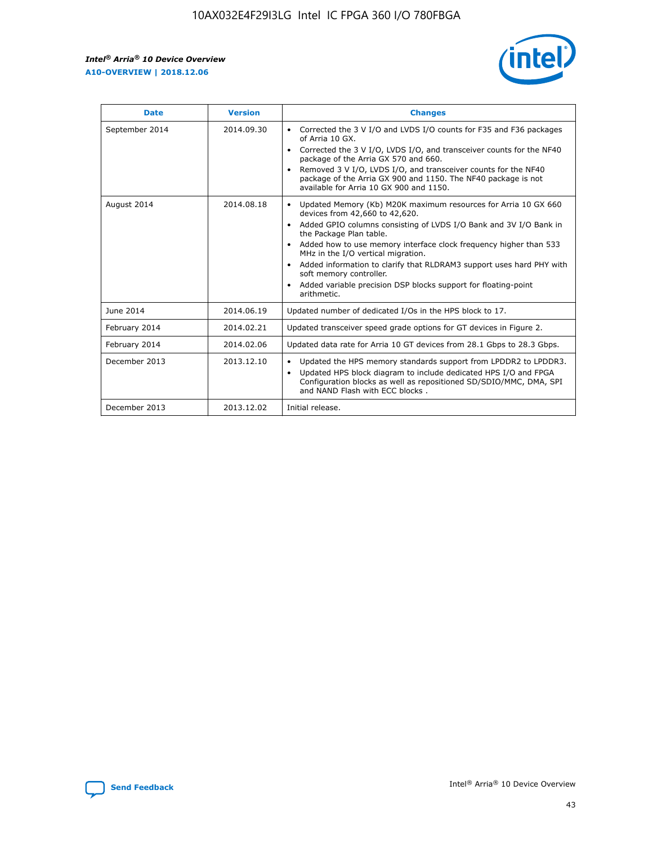r



| <b>Date</b>    | <b>Version</b> | <b>Changes</b>                                                                                                                                                                                                                                                                                                                                                                                                                                                                                                                         |
|----------------|----------------|----------------------------------------------------------------------------------------------------------------------------------------------------------------------------------------------------------------------------------------------------------------------------------------------------------------------------------------------------------------------------------------------------------------------------------------------------------------------------------------------------------------------------------------|
| September 2014 | 2014.09.30     | Corrected the 3 V I/O and LVDS I/O counts for F35 and F36 packages<br>of Arria 10 GX.<br>Corrected the 3 V I/O, LVDS I/O, and transceiver counts for the NF40<br>$\bullet$<br>package of the Arria GX 570 and 660.<br>Removed 3 V I/O, LVDS I/O, and transceiver counts for the NF40<br>package of the Arria GX 900 and 1150. The NF40 package is not<br>available for Arria 10 GX 900 and 1150.                                                                                                                                       |
| August 2014    | 2014.08.18     | Updated Memory (Kb) M20K maximum resources for Arria 10 GX 660<br>devices from 42,660 to 42,620.<br>Added GPIO columns consisting of LVDS I/O Bank and 3V I/O Bank in<br>$\bullet$<br>the Package Plan table.<br>Added how to use memory interface clock frequency higher than 533<br>$\bullet$<br>MHz in the I/O vertical migration.<br>Added information to clarify that RLDRAM3 support uses hard PHY with<br>$\bullet$<br>soft memory controller.<br>Added variable precision DSP blocks support for floating-point<br>arithmetic. |
| June 2014      | 2014.06.19     | Updated number of dedicated I/Os in the HPS block to 17.                                                                                                                                                                                                                                                                                                                                                                                                                                                                               |
| February 2014  | 2014.02.21     | Updated transceiver speed grade options for GT devices in Figure 2.                                                                                                                                                                                                                                                                                                                                                                                                                                                                    |
| February 2014  | 2014.02.06     | Updated data rate for Arria 10 GT devices from 28.1 Gbps to 28.3 Gbps.                                                                                                                                                                                                                                                                                                                                                                                                                                                                 |
| December 2013  | 2013.12.10     | Updated the HPS memory standards support from LPDDR2 to LPDDR3.<br>Updated HPS block diagram to include dedicated HPS I/O and FPGA<br>$\bullet$<br>Configuration blocks as well as repositioned SD/SDIO/MMC, DMA, SPI<br>and NAND Flash with ECC blocks.                                                                                                                                                                                                                                                                               |
| December 2013  | 2013.12.02     | Initial release.                                                                                                                                                                                                                                                                                                                                                                                                                                                                                                                       |